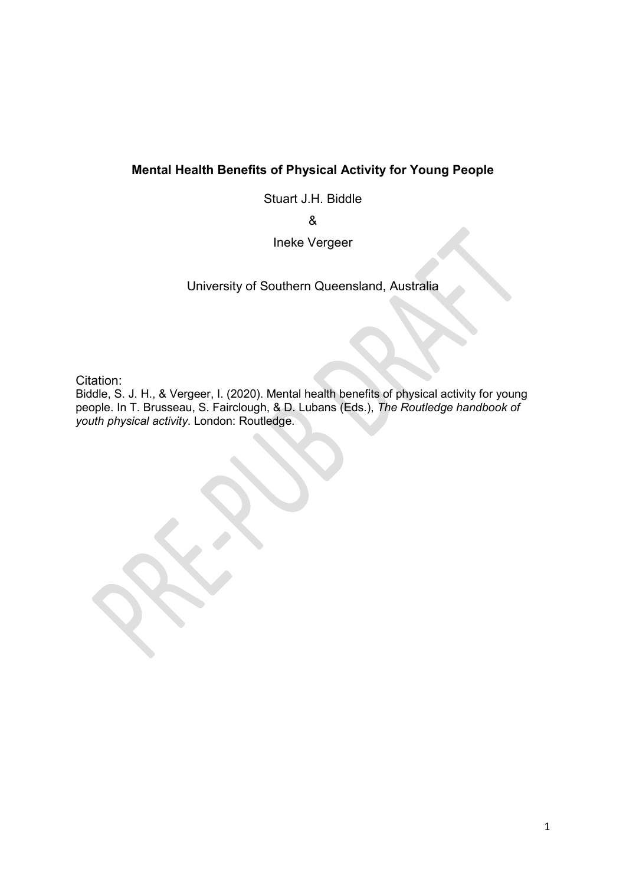# **Mental Health Benefits of Physical Activity for Young People**

Stuart J.H. Biddle

&

Ineke Vergeer

University of Southern Queensland, Australia

Citation:

Biddle, S. J. H., & Vergeer, I. (2020). Mental health benefits of physical activity for young people. In T. Brusseau, S. Fairclough, & D. Lubans (Eds.), *The Routledge handbook of youth physical activity*. London: Routledge.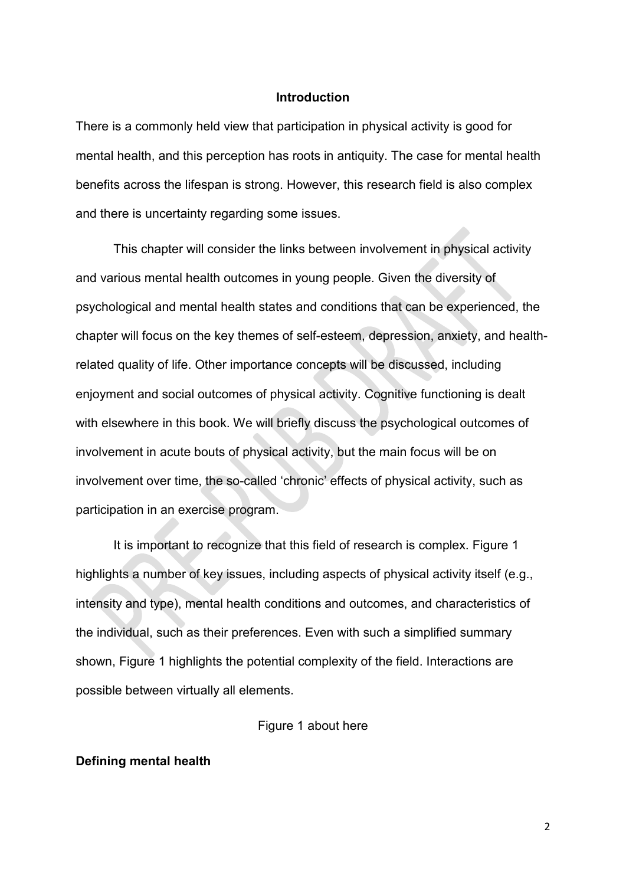#### **Introduction**

There is a commonly held view that participation in physical activity is good for mental health, and this perception has roots in antiquity. The case for mental health benefits across the lifespan is strong. However, this research field is also complex and there is uncertainty regarding some issues.

This chapter will consider the links between involvement in physical activity and various mental health outcomes in young people. Given the diversity of psychological and mental health states and conditions that can be experienced, the chapter will focus on the key themes of self-esteem, depression, anxiety, and healthrelated quality of life. Other importance concepts will be discussed, including enjoyment and social outcomes of physical activity. Cognitive functioning is dealt with elsewhere in this book. We will briefly discuss the psychological outcomes of involvement in acute bouts of physical activity, but the main focus will be on involvement over time, the so-called 'chronic' effects of physical activity, such as participation in an exercise program.

It is important to recognize that this field of research is complex. Figure 1 highlights a number of key issues, including aspects of physical activity itself (e.g., intensity and type), mental health conditions and outcomes, and characteristics of the individual, such as their preferences. Even with such a simplified summary shown, Figure 1 highlights the potential complexity of the field. Interactions are possible between virtually all elements.

#### Figure 1 about here

#### **Defining mental health**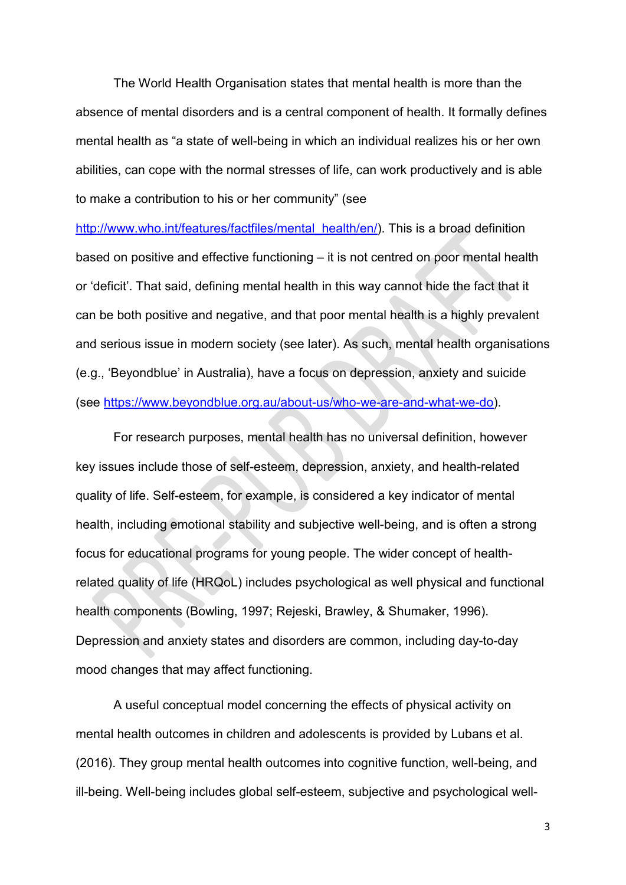The World Health Organisation states that mental health is more than the absence of mental disorders and is a central component of health. It formally defines mental health as "a state of well-being in which an individual realizes his or her own abilities, can cope with the normal stresses of life, can work productively and is able to make a contribution to his or her community" (see

[http://www.who.int/features/factfiles/mental\\_health/en/\)](http://www.who.int/features/factfiles/mental_health/en/). This is a broad definition based on positive and effective functioning – it is not centred on poor mental health or 'deficit'. That said, defining mental health in this way cannot hide the fact that it can be both positive and negative, and that poor mental health is a highly prevalent and serious issue in modern society (see later). As such, mental health organisations (e.g., 'Beyondblue' in Australia), have a focus on depression, anxiety and suicide (see [https://www.beyondblue.org.au/about-us/who-we-are-and-what-we-do\)](https://www.beyondblue.org.au/about-us/who-we-are-and-what-we-do).

For research purposes, mental health has no universal definition, however key issues include those of self-esteem, depression, anxiety, and health-related quality of life. Self-esteem, for example, is considered a key indicator of mental health, including emotional stability and subjective well-being, and is often a strong focus for educational programs for young people. The wider concept of healthrelated quality of life (HRQoL) includes psychological as well physical and functional health components (Bowling, 1997; Rejeski, Brawley, & Shumaker, 1996). Depression and anxiety states and disorders are common, including day-to-day mood changes that may affect functioning.

A useful conceptual model concerning the effects of physical activity on mental health outcomes in children and adolescents is provided by Lubans et al. (2016). They group mental health outcomes into cognitive function, well-being, and ill-being. Well-being includes global self-esteem, subjective and psychological well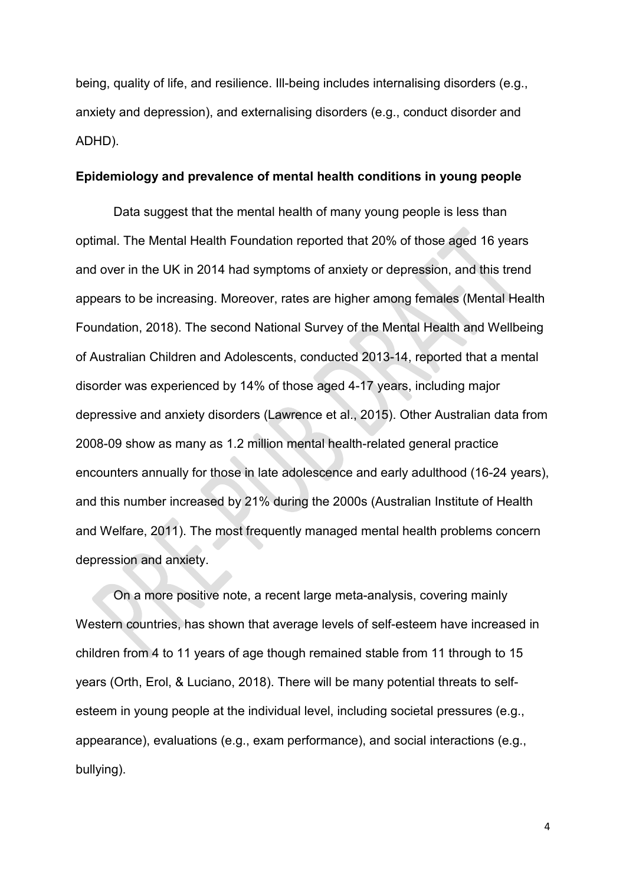being, quality of life, and resilience. Ill-being includes internalising disorders (e.g., anxiety and depression), and externalising disorders (e.g., conduct disorder and ADHD).

#### **Epidemiology and prevalence of mental health conditions in young people**

Data suggest that the mental health of many young people is less than optimal. The Mental Health Foundation reported that 20% of those aged 16 years and over in the UK in 2014 had symptoms of anxiety or depression, and this trend appears to be increasing. Moreover, rates are higher among females (Mental Health Foundation, 2018). The second National Survey of the Mental Health and Wellbeing of Australian Children and Adolescents, conducted 2013-14, reported that a mental disorder was experienced by 14% of those aged 4-17 years, including major depressive and anxiety disorders (Lawrence et al., 2015). Other Australian data from 2008-09 show as many as 1.2 million mental health-related general practice encounters annually for those in late adolescence and early adulthood (16-24 years), and this number increased by 21% during the 2000s (Australian Institute of Health and Welfare, 2011). The most frequently managed mental health problems concern depression and anxiety.

On a more positive note, a recent large meta-analysis, covering mainly Western countries, has shown that average levels of self-esteem have increased in children from 4 to 11 years of age though remained stable from 11 through to 15 years (Orth, Erol, & Luciano, 2018). There will be many potential threats to selfesteem in young people at the individual level, including societal pressures (e.g., appearance), evaluations (e.g., exam performance), and social interactions (e.g., bullying).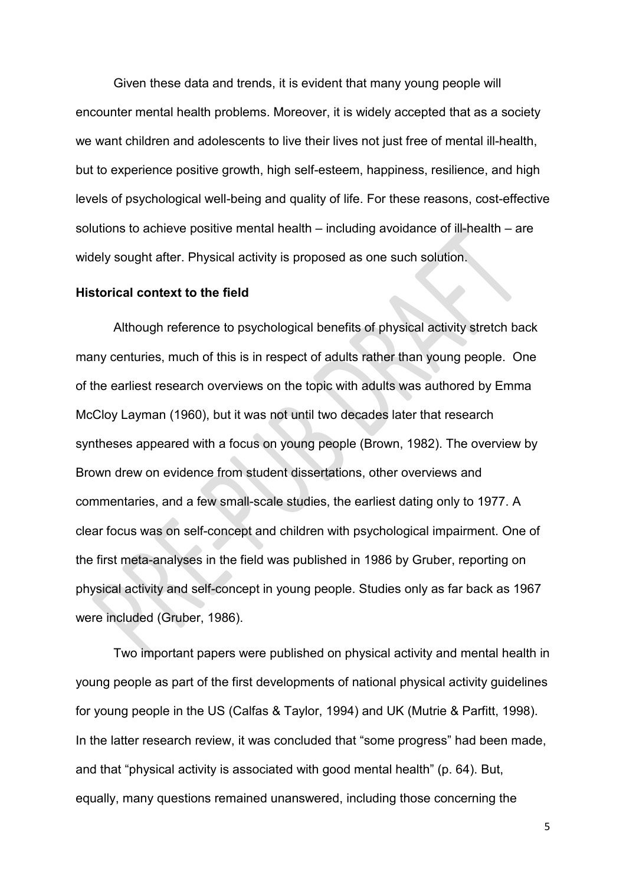Given these data and trends, it is evident that many young people will encounter mental health problems. Moreover, it is widely accepted that as a society we want children and adolescents to live their lives not just free of mental ill-health, but to experience positive growth, high self-esteem, happiness, resilience, and high levels of psychological well-being and quality of life. For these reasons, cost-effective solutions to achieve positive mental health – including avoidance of ill-health – are widely sought after. Physical activity is proposed as one such solution.

## **Historical context to the field**

Although reference to psychological benefits of physical activity stretch back many centuries, much of this is in respect of adults rather than young people. One of the earliest research overviews on the topic with adults was authored by Emma McCloy Layman (1960), but it was not until two decades later that research syntheses appeared with a focus on young people (Brown, 1982). The overview by Brown drew on evidence from student dissertations, other overviews and commentaries, and a few small-scale studies, the earliest dating only to 1977. A clear focus was on self-concept and children with psychological impairment. One of the first meta-analyses in the field was published in 1986 by Gruber, reporting on physical activity and self-concept in young people. Studies only as far back as 1967 were included (Gruber, 1986).

Two important papers were published on physical activity and mental health in young people as part of the first developments of national physical activity guidelines for young people in the US (Calfas & Taylor, 1994) and UK (Mutrie & Parfitt, 1998). In the latter research review, it was concluded that "some progress" had been made, and that "physical activity is associated with good mental health" (p. 64). But, equally, many questions remained unanswered, including those concerning the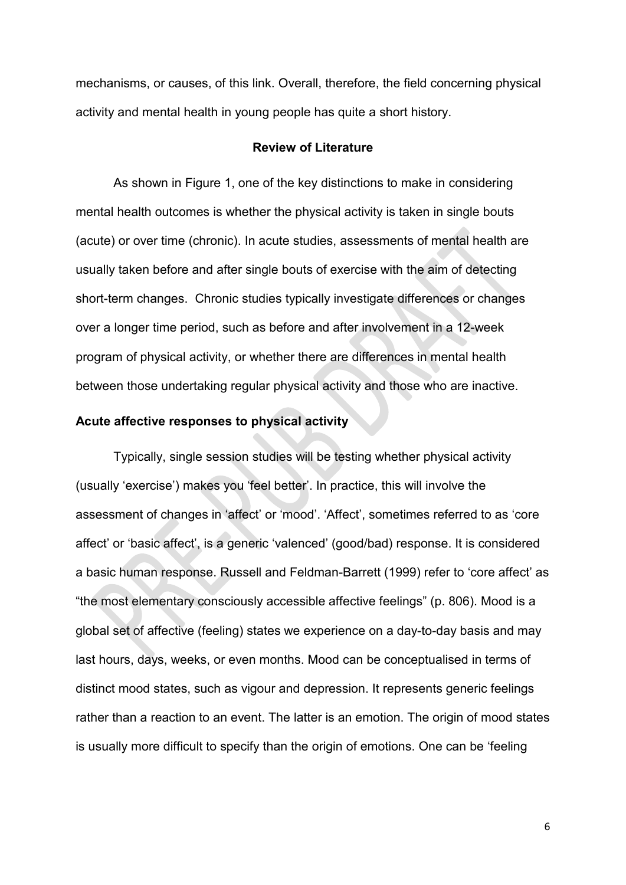mechanisms, or causes, of this link. Overall, therefore, the field concerning physical activity and mental health in young people has quite a short history.

### **Review of Literature**

As shown in Figure 1, one of the key distinctions to make in considering mental health outcomes is whether the physical activity is taken in single bouts (acute) or over time (chronic). In acute studies, assessments of mental health are usually taken before and after single bouts of exercise with the aim of detecting short-term changes. Chronic studies typically investigate differences or changes over a longer time period, such as before and after involvement in a 12-week program of physical activity, or whether there are differences in mental health between those undertaking regular physical activity and those who are inactive.

# **Acute affective responses to physical activity**

Typically, single session studies will be testing whether physical activity (usually 'exercise') makes you 'feel better'. In practice, this will involve the assessment of changes in 'affect' or 'mood'. 'Affect', sometimes referred to as 'core affect' or 'basic affect', is a generic 'valenced' (good/bad) response. It is considered a basic human response. Russell and Feldman-Barrett (1999) refer to 'core affect' as "the most elementary consciously accessible affective feelings" (p. 806). Mood is a global set of affective (feeling) states we experience on a day-to-day basis and may last hours, days, weeks, or even months. Mood can be conceptualised in terms of distinct mood states, such as vigour and depression. It represents generic feelings rather than a reaction to an event. The latter is an emotion. The origin of mood states is usually more difficult to specify than the origin of emotions. One can be 'feeling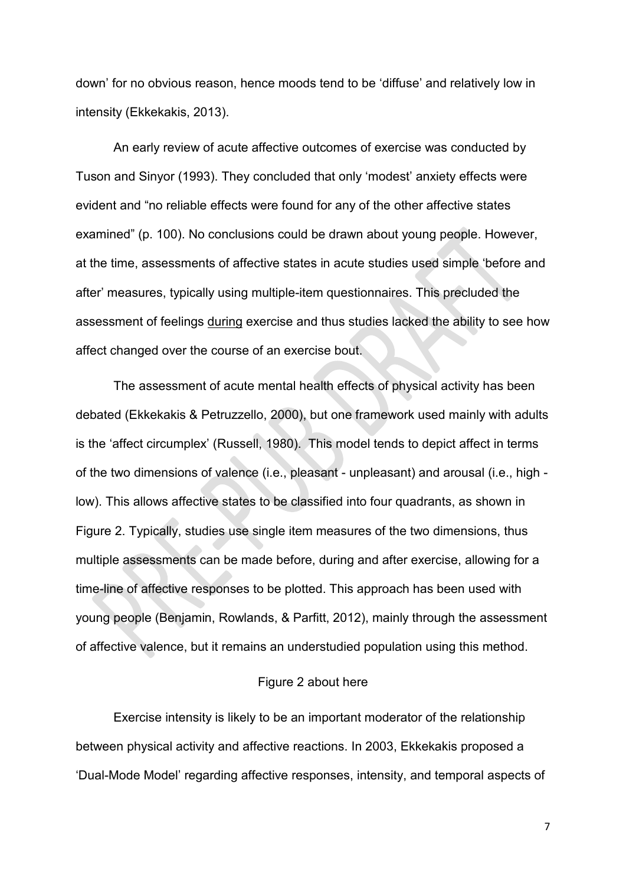down' for no obvious reason, hence moods tend to be 'diffuse' and relatively low in intensity (Ekkekakis, 2013).

An early review of acute affective outcomes of exercise was conducted by Tuson and Sinyor (1993). They concluded that only 'modest' anxiety effects were evident and "no reliable effects were found for any of the other affective states examined" (p. 100). No conclusions could be drawn about young people. However, at the time, assessments of affective states in acute studies used simple 'before and after' measures, typically using multiple-item questionnaires. This precluded the assessment of feelings during exercise and thus studies lacked the ability to see how affect changed over the course of an exercise bout.

The assessment of acute mental health effects of physical activity has been debated (Ekkekakis & Petruzzello, 2000), but one framework used mainly with adults is the 'affect circumplex' (Russell, 1980). This model tends to depict affect in terms of the two dimensions of valence (i.e., pleasant - unpleasant) and arousal (i.e., high low). This allows affective states to be classified into four quadrants, as shown in Figure 2. Typically, studies use single item measures of the two dimensions, thus multiple assessments can be made before, during and after exercise, allowing for a time-line of affective responses to be plotted. This approach has been used with young people (Benjamin, Rowlands, & Parfitt, 2012), mainly through the assessment of affective valence, but it remains an understudied population using this method.

#### Figure 2 about here

Exercise intensity is likely to be an important moderator of the relationship between physical activity and affective reactions. In 2003, Ekkekakis proposed a 'Dual-Mode Model' regarding affective responses, intensity, and temporal aspects of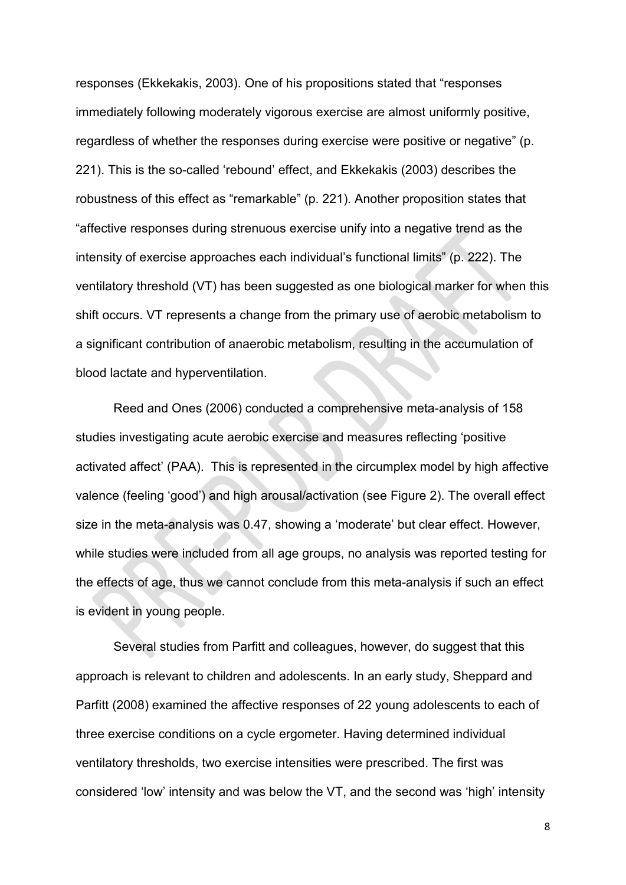responses (Ekkekakis, 2003). One of his propositions stated that "responses immediately following moderately vigorous exercise are almost uniformly positive, regardless of whether the responses during exercise were positive or negative" (p. 221). This is the so-called 'rebound' effect, and Ekkekakis (2003) describes the robustness of this effect as "remarkable" (p. 221). Another proposition states that "affective responses during strenuous exercise unify into a negative trend as the intensity of exercise approaches each individual's functional limits" (p. 222). The ventilatory threshold (VT) has been suggested as one biological marker for when this shift occurs. VT represents a change from the primary use of aerobic metabolism to a significant contribution of anaerobic metabolism, resulting in the accumulation of blood lactate and hyperventilation.

Reed and Ones (2006) conducted a comprehensive meta-analysis of 158 studies investigating acute aerobic exercise and measures reflecting 'positive activated affect' (PAA). This is represented in the circumplex model by high affective valence (feeling 'good') and high arousal/activation (see Figure 2). The overall effect size in the meta-analysis was 0.47, showing a 'moderate' but clear effect. However, while studies were included from all age groups, no analysis was reported testing for the effects of age, thus we cannot conclude from this meta-analysis if such an effect is evident in young people.

Several studies from Parfitt and colleagues, however, do suggest that this approach is relevant to children and adolescents. In an early study, Sheppard and Parfitt (2008) examined the affective responses of 22 young adolescents to each of three exercise conditions on a cycle ergometer. Having determined individual ventilatory thresholds, two exercise intensities were prescribed. The first was considered 'low' intensity and was below the VT, and the second was 'high' intensity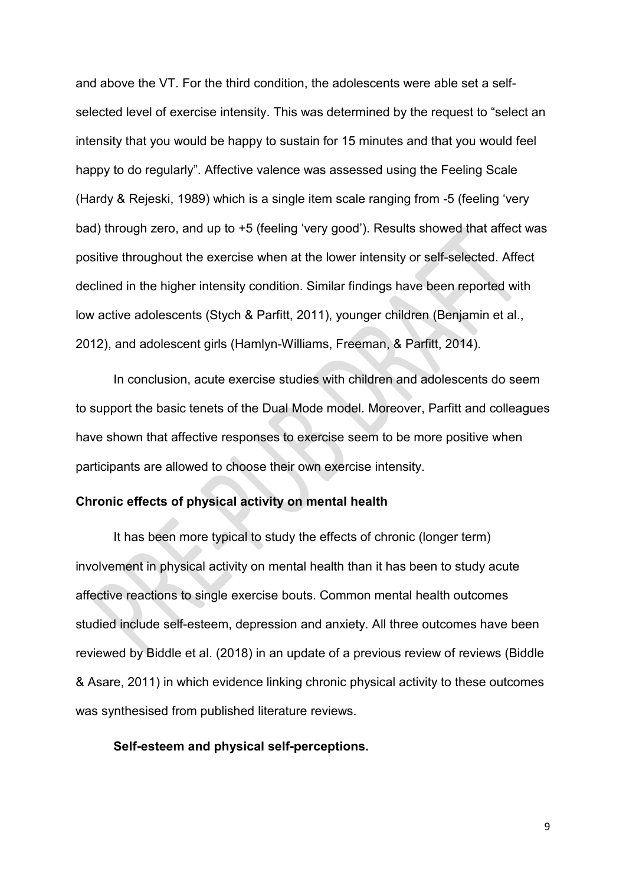and above the VT. For the third condition, the adolescents were able set a selfselected level of exercise intensity. This was determined by the request to "select an intensity that you would be happy to sustain for 15 minutes and that you would feel happy to do regularly". Affective valence was assessed using the Feeling Scale (Hardy & Rejeski, 1989) which is a single item scale ranging from -5 (feeling 'very bad) through zero, and up to +5 (feeling 'very good'). Results showed that affect was positive throughout the exercise when at the lower intensity or self-selected. Affect declined in the higher intensity condition. Similar findings have been reported with low active adolescents (Stych & Parfitt, 2011), younger children (Benjamin et al., 2012), and adolescent girls (Hamlyn-Williams, Freeman, & Parfitt, 2014).

In conclusion, acute exercise studies with children and adolescents do seem to support the basic tenets of the Dual Mode model. Moreover, Parfitt and colleagues have shown that affective responses to exercise seem to be more positive when participants are allowed to choose their own exercise intensity.

#### **Chronic effects of physical activity on mental health**

It has been more typical to study the effects of chronic (longer term) involvement in physical activity on mental health than it has been to study acute affective reactions to single exercise bouts. Common mental health outcomes studied include self-esteem, depression and anxiety. All three outcomes have been reviewed by Biddle et al. (2018) in an update of a previous review of reviews (Biddle & Asare, 2011) in which evidence linking chronic physical activity to these outcomes was synthesised from published literature reviews.

#### **Self-esteem and physical self-perceptions.**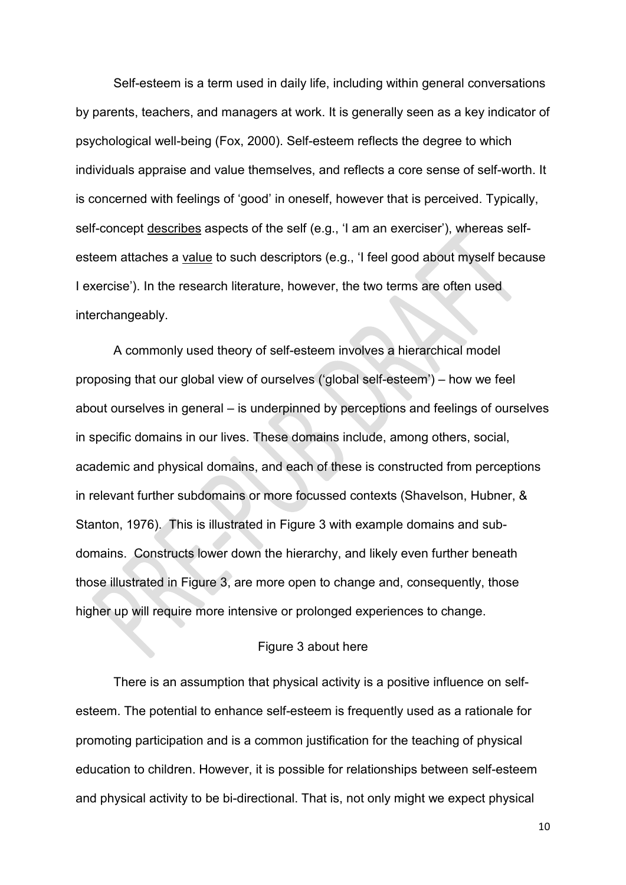Self-esteem is a term used in daily life, including within general conversations by parents, teachers, and managers at work. It is generally seen as a key indicator of psychological well-being (Fox, 2000). Self-esteem reflects the degree to which individuals appraise and value themselves, and reflects a core sense of self-worth. It is concerned with feelings of 'good' in oneself, however that is perceived. Typically, self-concept describes aspects of the self (e.g., 'I am an exerciser'), whereas selfesteem attaches a value to such descriptors (e.g., 'I feel good about myself because I exercise'). In the research literature, however, the two terms are often used interchangeably.

A commonly used theory of self-esteem involves a hierarchical model proposing that our global view of ourselves ('global self-esteem') – how we feel about ourselves in general – is underpinned by perceptions and feelings of ourselves in specific domains in our lives. These domains include, among others, social, academic and physical domains, and each of these is constructed from perceptions in relevant further subdomains or more focussed contexts (Shavelson, Hubner, & Stanton, 1976). This is illustrated in Figure 3 with example domains and subdomains. Constructs lower down the hierarchy, and likely even further beneath those illustrated in Figure 3, are more open to change and, consequently, those higher up will require more intensive or prolonged experiences to change.

## Figure 3 about here

There is an assumption that physical activity is a positive influence on selfesteem. The potential to enhance self-esteem is frequently used as a rationale for promoting participation and is a common justification for the teaching of physical education to children. However, it is possible for relationships between self-esteem and physical activity to be bi-directional. That is, not only might we expect physical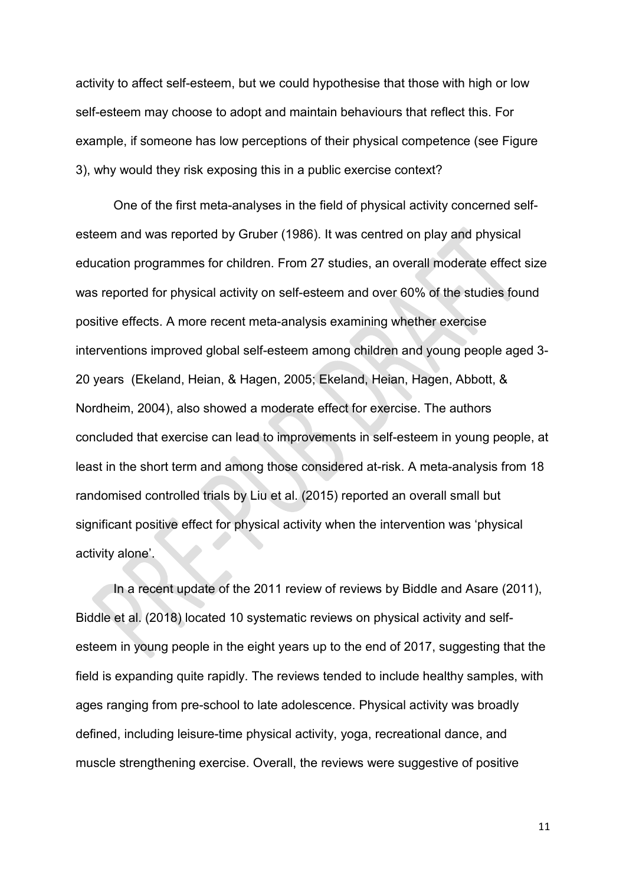activity to affect self-esteem, but we could hypothesise that those with high or low self-esteem may choose to adopt and maintain behaviours that reflect this. For example, if someone has low perceptions of their physical competence (see Figure 3), why would they risk exposing this in a public exercise context?

One of the first meta-analyses in the field of physical activity concerned selfesteem and was reported by Gruber (1986). It was centred on play and physical education programmes for children. From 27 studies, an overall moderate effect size was reported for physical activity on self-esteem and over 60% of the studies found positive effects. A more recent meta-analysis examining whether exercise interventions improved global self-esteem among children and young people aged 3- 20 years (Ekeland, Heian, & Hagen, 2005; Ekeland, Heian, Hagen, Abbott, & Nordheim, 2004), also showed a moderate effect for exercise. The authors concluded that exercise can lead to improvements in self-esteem in young people, at least in the short term and among those considered at-risk. A meta-analysis from 18 randomised controlled trials by Liu et al. (2015) reported an overall small but significant positive effect for physical activity when the intervention was 'physical activity alone'.

In a recent update of the 2011 review of reviews by Biddle and Asare (2011), Biddle et al. (2018) located 10 systematic reviews on physical activity and selfesteem in young people in the eight years up to the end of 2017, suggesting that the field is expanding quite rapidly. The reviews tended to include healthy samples, with ages ranging from pre-school to late adolescence. Physical activity was broadly defined, including leisure-time physical activity, yoga, recreational dance, and muscle strengthening exercise. Overall, the reviews were suggestive of positive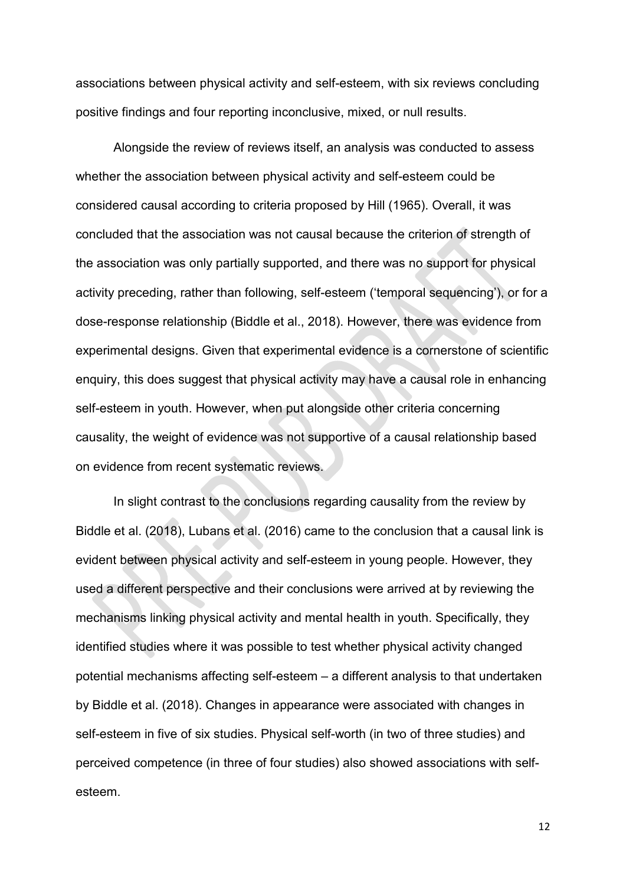associations between physical activity and self-esteem, with six reviews concluding positive findings and four reporting inconclusive, mixed, or null results.

Alongside the review of reviews itself, an analysis was conducted to assess whether the association between physical activity and self-esteem could be considered causal according to criteria proposed by Hill (1965). Overall, it was concluded that the association was not causal because the criterion of strength of the association was only partially supported, and there was no support for physical activity preceding, rather than following, self-esteem ('temporal sequencing'), or for a dose-response relationship (Biddle et al., 2018). However, there was evidence from experimental designs. Given that experimental evidence is a cornerstone of scientific enquiry, this does suggest that physical activity may have a causal role in enhancing self-esteem in youth. However, when put alongside other criteria concerning causality, the weight of evidence was not supportive of a causal relationship based on evidence from recent systematic reviews.

In slight contrast to the conclusions regarding causality from the review by Biddle et al. (2018), Lubans et al. (2016) came to the conclusion that a causal link is evident between physical activity and self-esteem in young people. However, they used a different perspective and their conclusions were arrived at by reviewing the mechanisms linking physical activity and mental health in youth. Specifically, they identified studies where it was possible to test whether physical activity changed potential mechanisms affecting self-esteem – a different analysis to that undertaken by Biddle et al. (2018). Changes in appearance were associated with changes in self-esteem in five of six studies. Physical self-worth (in two of three studies) and perceived competence (in three of four studies) also showed associations with selfesteem.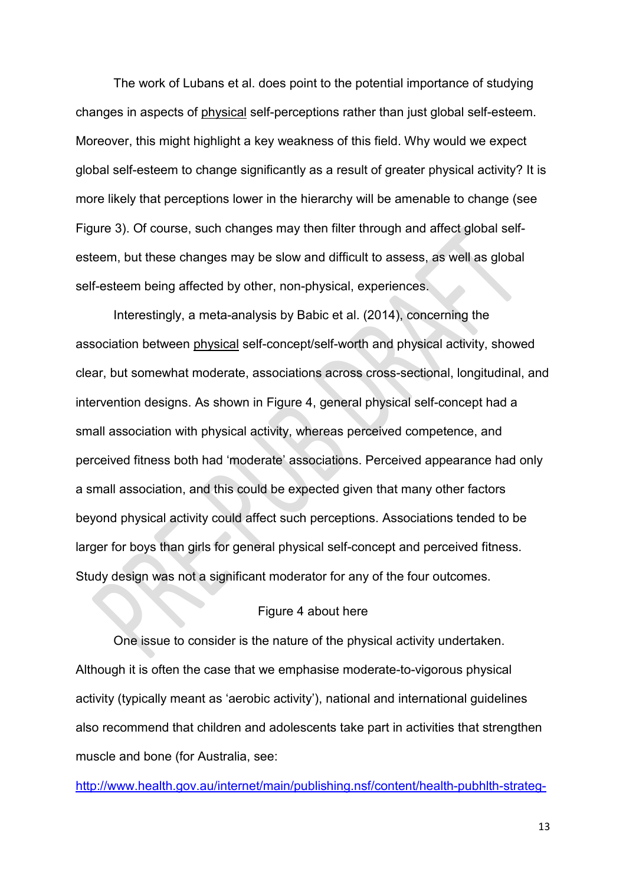The work of Lubans et al. does point to the potential importance of studying changes in aspects of physical self-perceptions rather than just global self-esteem. Moreover, this might highlight a key weakness of this field. Why would we expect global self-esteem to change significantly as a result of greater physical activity? It is more likely that perceptions lower in the hierarchy will be amenable to change (see Figure 3). Of course, such changes may then filter through and affect global selfesteem, but these changes may be slow and difficult to assess, as well as global self-esteem being affected by other, non-physical, experiences.

Interestingly, a meta-analysis by Babic et al. (2014), concerning the association between physical self-concept/self-worth and physical activity, showed clear, but somewhat moderate, associations across cross-sectional, longitudinal, and intervention designs. As shown in Figure 4, general physical self-concept had a small association with physical activity, whereas perceived competence, and perceived fitness both had 'moderate' associations. Perceived appearance had only a small association, and this could be expected given that many other factors beyond physical activity could affect such perceptions. Associations tended to be larger for boys than girls for general physical self-concept and perceived fitness. Study design was not a significant moderator for any of the four outcomes.

# Figure 4 about here

One issue to consider is the nature of the physical activity undertaken. Although it is often the case that we emphasise moderate-to-vigorous physical activity (typically meant as 'aerobic activity'), national and international guidelines also recommend that children and adolescents take part in activities that strengthen muscle and bone (for Australia, see:

[http://www.health.gov.au/internet/main/publishing.nsf/content/health-pubhlth-strateg-](http://www.health.gov.au/internet/main/publishing.nsf/content/health-pubhlth-strateg-phys-act-guidelines)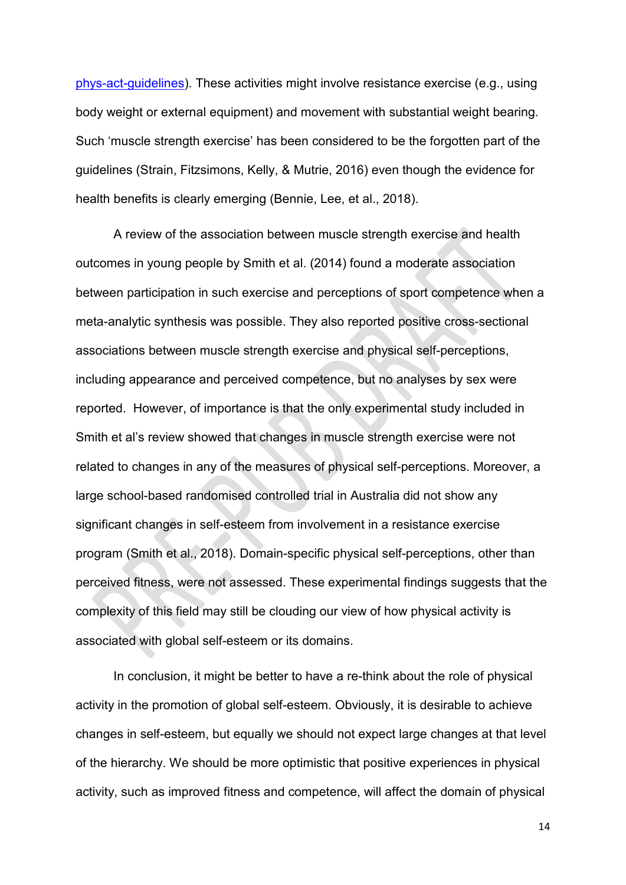[phys-act-guidelines\)](http://www.health.gov.au/internet/main/publishing.nsf/content/health-pubhlth-strateg-phys-act-guidelines). These activities might involve resistance exercise (e.g., using body weight or external equipment) and movement with substantial weight bearing. Such 'muscle strength exercise' has been considered to be the forgotten part of the guidelines (Strain, Fitzsimons, Kelly, & Mutrie, 2016) even though the evidence for health benefits is clearly emerging (Bennie, Lee, et al., 2018).

A review of the association between muscle strength exercise and health outcomes in young people by Smith et al. (2014) found a moderate association between participation in such exercise and perceptions of sport competence when a meta-analytic synthesis was possible. They also reported positive cross-sectional associations between muscle strength exercise and physical self-perceptions, including appearance and perceived competence, but no analyses by sex were reported. However, of importance is that the only experimental study included in Smith et al's review showed that changes in muscle strength exercise were not related to changes in any of the measures of physical self-perceptions. Moreover, a large school-based randomised controlled trial in Australia did not show any significant changes in self-esteem from involvement in a resistance exercise program (Smith et al., 2018). Domain-specific physical self-perceptions, other than perceived fitness, were not assessed. These experimental findings suggests that the complexity of this field may still be clouding our view of how physical activity is associated with global self-esteem or its domains.

In conclusion, it might be better to have a re-think about the role of physical activity in the promotion of global self-esteem. Obviously, it is desirable to achieve changes in self-esteem, but equally we should not expect large changes at that level of the hierarchy. We should be more optimistic that positive experiences in physical activity, such as improved fitness and competence, will affect the domain of physical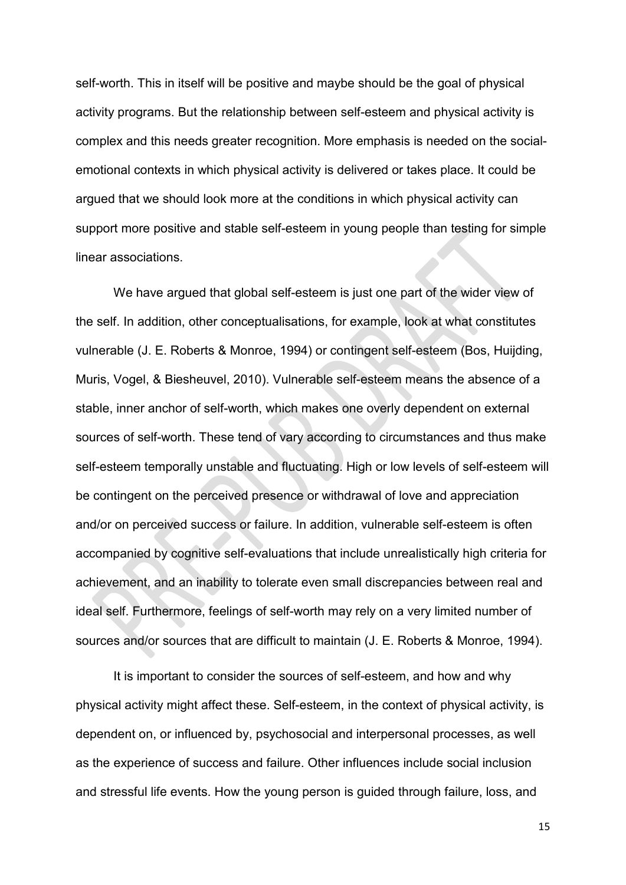self-worth. This in itself will be positive and maybe should be the goal of physical activity programs. But the relationship between self-esteem and physical activity is complex and this needs greater recognition. More emphasis is needed on the socialemotional contexts in which physical activity is delivered or takes place. It could be argued that we should look more at the conditions in which physical activity can support more positive and stable self-esteem in young people than testing for simple linear associations.

We have argued that global self-esteem is just one part of the wider view of the self. In addition, other conceptualisations, for example, look at what constitutes vulnerable (J. E. Roberts & Monroe, 1994) or contingent self-esteem (Bos, Huijding, Muris, Vogel, & Biesheuvel, 2010). Vulnerable self-esteem means the absence of a stable, inner anchor of self-worth, which makes one overly dependent on external sources of self-worth. These tend of vary according to circumstances and thus make self-esteem temporally unstable and fluctuating. High or low levels of self-esteem will be contingent on the perceived presence or withdrawal of love and appreciation and/or on perceived success or failure. In addition, vulnerable self-esteem is often accompanied by cognitive self-evaluations that include unrealistically high criteria for achievement, and an inability to tolerate even small discrepancies between real and ideal self. Furthermore, feelings of self-worth may rely on a very limited number of sources and/or sources that are difficult to maintain (J. E. Roberts & Monroe, 1994).

It is important to consider the sources of self-esteem, and how and why physical activity might affect these. Self-esteem, in the context of physical activity, is dependent on, or influenced by, psychosocial and interpersonal processes, as well as the experience of success and failure. Other influences include social inclusion and stressful life events. How the young person is guided through failure, loss, and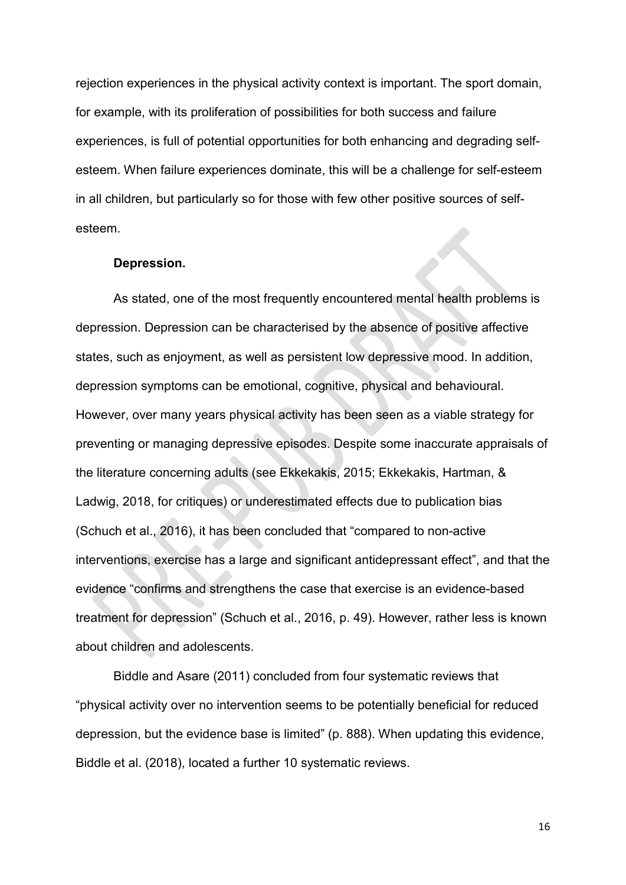rejection experiences in the physical activity context is important. The sport domain, for example, with its proliferation of possibilities for both success and failure experiences, is full of potential opportunities for both enhancing and degrading selfesteem. When failure experiences dominate, this will be a challenge for self-esteem in all children, but particularly so for those with few other positive sources of selfesteem.

#### **Depression.**

As stated, one of the most frequently encountered mental health problems is depression. Depression can be characterised by the absence of positive affective states, such as enjoyment, as well as persistent low depressive mood. In addition, depression symptoms can be emotional, cognitive, physical and behavioural. However, over many years physical activity has been seen as a viable strategy for preventing or managing depressive episodes. Despite some inaccurate appraisals of the literature concerning adults (see Ekkekakis, 2015; Ekkekakis, Hartman, & Ladwig, 2018, for critiques) or underestimated effects due to publication bias (Schuch et al., 2016), it has been concluded that "compared to non-active interventions, exercise has a large and significant antidepressant effect", and that the evidence "confirms and strengthens the case that exercise is an evidence-based treatment for depression" (Schuch et al., 2016, p. 49). However, rather less is known about children and adolescents.

Biddle and Asare (2011) concluded from four systematic reviews that "physical activity over no intervention seems to be potentially beneficial for reduced depression, but the evidence base is limited" (p. 888). When updating this evidence, Biddle et al. (2018), located a further 10 systematic reviews.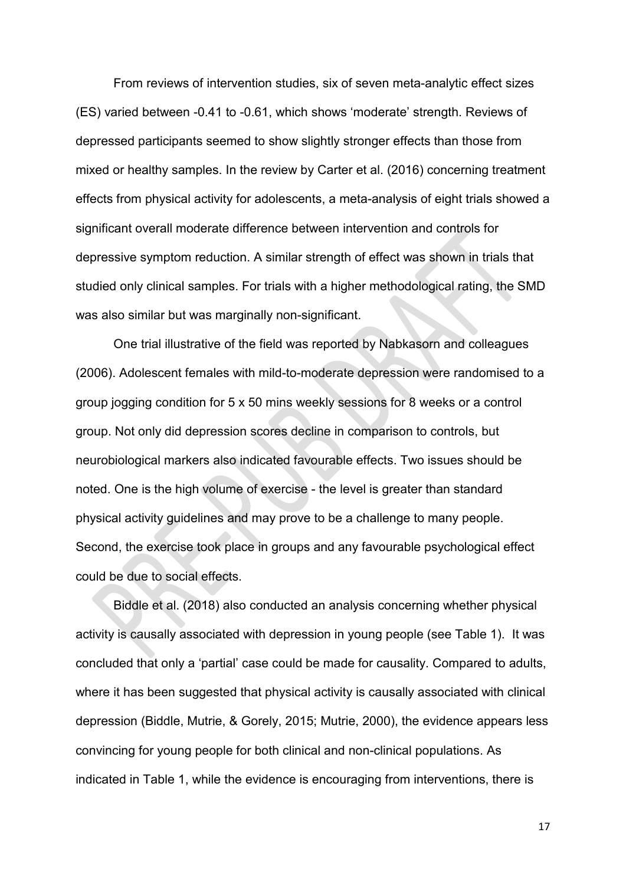From reviews of intervention studies, six of seven meta-analytic effect sizes (ES) varied between -0.41 to -0.61, which shows 'moderate' strength. Reviews of depressed participants seemed to show slightly stronger effects than those from mixed or healthy samples. In the review by Carter et al. (2016) concerning treatment effects from physical activity for adolescents, a meta-analysis of eight trials showed a significant overall moderate difference between intervention and controls for depressive symptom reduction. A similar strength of effect was shown in trials that studied only clinical samples. For trials with a higher methodological rating, the SMD was also similar but was marginally non-significant.

One trial illustrative of the field was reported by Nabkasorn and colleagues (2006). Adolescent females with mild-to-moderate depression were randomised to a group jogging condition for 5 x 50 mins weekly sessions for 8 weeks or a control group. Not only did depression scores decline in comparison to controls, but neurobiological markers also indicated favourable effects. Two issues should be noted. One is the high volume of exercise - the level is greater than standard physical activity guidelines and may prove to be a challenge to many people. Second, the exercise took place in groups and any favourable psychological effect could be due to social effects.

Biddle et al. (2018) also conducted an analysis concerning whether physical activity is causally associated with depression in young people (see Table 1). It was concluded that only a 'partial' case could be made for causality. Compared to adults, where it has been suggested that physical activity is causally associated with clinical depression (Biddle, Mutrie, & Gorely, 2015; Mutrie, 2000), the evidence appears less convincing for young people for both clinical and non-clinical populations. As indicated in Table 1, while the evidence is encouraging from interventions, there is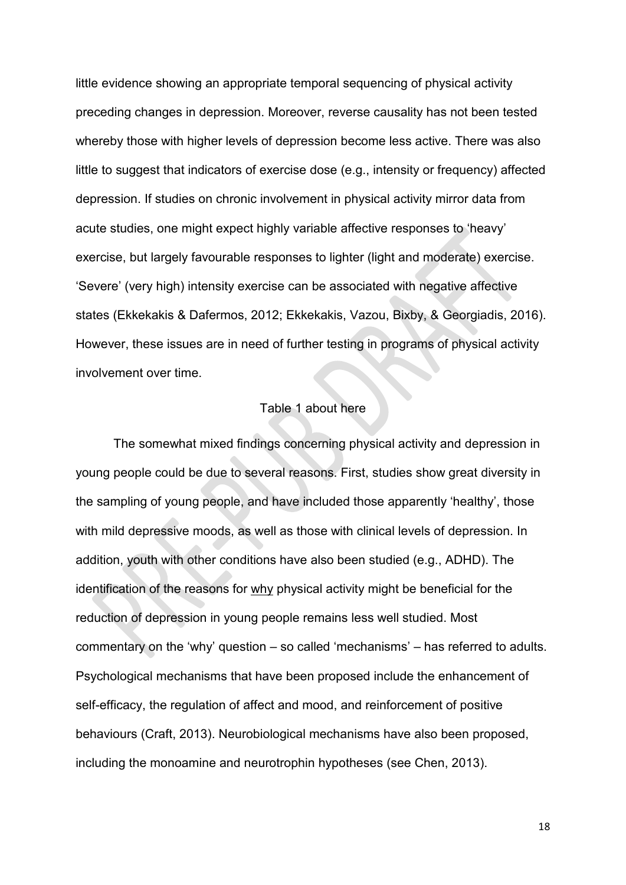little evidence showing an appropriate temporal sequencing of physical activity preceding changes in depression. Moreover, reverse causality has not been tested whereby those with higher levels of depression become less active. There was also little to suggest that indicators of exercise dose (e.g., intensity or frequency) affected depression. If studies on chronic involvement in physical activity mirror data from acute studies, one might expect highly variable affective responses to 'heavy' exercise, but largely favourable responses to lighter (light and moderate) exercise. 'Severe' (very high) intensity exercise can be associated with negative affective states (Ekkekakis & Dafermos, 2012; Ekkekakis, Vazou, Bixby, & Georgiadis, 2016). However, these issues are in need of further testing in programs of physical activity involvement over time.

## Table 1 about here

The somewhat mixed findings concerning physical activity and depression in young people could be due to several reasons. First, studies show great diversity in the sampling of young people, and have included those apparently 'healthy', those with mild depressive moods, as well as those with clinical levels of depression. In addition, youth with other conditions have also been studied (e.g., ADHD). The identification of the reasons for why physical activity might be beneficial for the reduction of depression in young people remains less well studied. Most commentary on the 'why' question – so called 'mechanisms' – has referred to adults. Psychological mechanisms that have been proposed include the enhancement of self-efficacy, the regulation of affect and mood, and reinforcement of positive behaviours (Craft, 2013). Neurobiological mechanisms have also been proposed, including the monoamine and neurotrophin hypotheses (see Chen, 2013).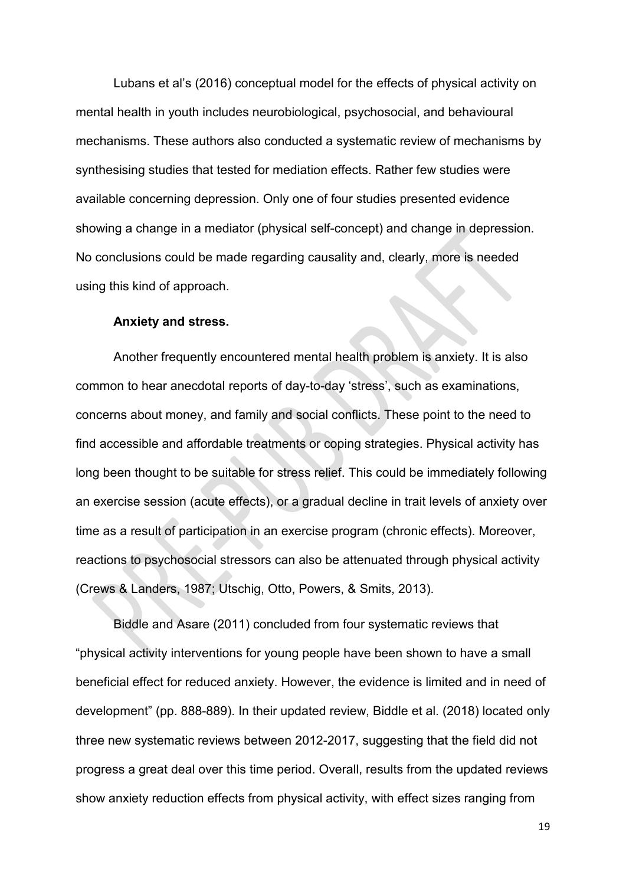Lubans et al's (2016) conceptual model for the effects of physical activity on mental health in youth includes neurobiological, psychosocial, and behavioural mechanisms. These authors also conducted a systematic review of mechanisms by synthesising studies that tested for mediation effects. Rather few studies were available concerning depression. Only one of four studies presented evidence showing a change in a mediator (physical self-concept) and change in depression. No conclusions could be made regarding causality and, clearly, more is needed using this kind of approach.

#### **Anxiety and stress.**

Another frequently encountered mental health problem is anxiety. It is also common to hear anecdotal reports of day-to-day 'stress', such as examinations, concerns about money, and family and social conflicts. These point to the need to find accessible and affordable treatments or coping strategies. Physical activity has long been thought to be suitable for stress relief. This could be immediately following an exercise session (acute effects), or a gradual decline in trait levels of anxiety over time as a result of participation in an exercise program (chronic effects). Moreover, reactions to psychosocial stressors can also be attenuated through physical activity (Crews & Landers, 1987; Utschig, Otto, Powers, & Smits, 2013).

Biddle and Asare (2011) concluded from four systematic reviews that "physical activity interventions for young people have been shown to have a small beneficial effect for reduced anxiety. However, the evidence is limited and in need of development" (pp. 888-889). In their updated review, Biddle et al. (2018) located only three new systematic reviews between 2012-2017, suggesting that the field did not progress a great deal over this time period. Overall, results from the updated reviews show anxiety reduction effects from physical activity, with effect sizes ranging from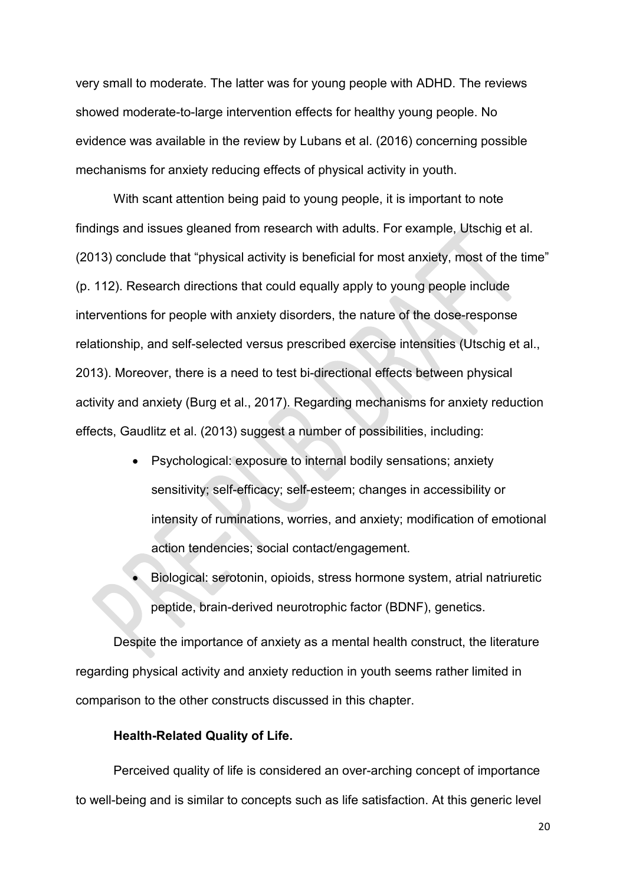very small to moderate. The latter was for young people with ADHD. The reviews showed moderate-to-large intervention effects for healthy young people. No evidence was available in the review by Lubans et al. (2016) concerning possible mechanisms for anxiety reducing effects of physical activity in youth.

With scant attention being paid to young people, it is important to note findings and issues gleaned from research with adults. For example, Utschig et al. (2013) conclude that "physical activity is beneficial for most anxiety, most of the time" (p. 112). Research directions that could equally apply to young people include interventions for people with anxiety disorders, the nature of the dose-response relationship, and self-selected versus prescribed exercise intensities (Utschig et al., 2013). Moreover, there is a need to test bi-directional effects between physical activity and anxiety (Burg et al., 2017). Regarding mechanisms for anxiety reduction effects, Gaudlitz et al. (2013) suggest a number of possibilities, including:

- Psychological: exposure to internal bodily sensations; anxiety sensitivity; self-efficacy; self-esteem; changes in accessibility or intensity of ruminations, worries, and anxiety; modification of emotional action tendencies; social contact/engagement.
- Biological: serotonin, opioids, stress hormone system, atrial natriuretic peptide, brain-derived neurotrophic factor (BDNF), genetics.

Despite the importance of anxiety as a mental health construct, the literature regarding physical activity and anxiety reduction in youth seems rather limited in comparison to the other constructs discussed in this chapter.

## **Health-Related Quality of Life.**

Perceived quality of life is considered an over-arching concept of importance to well-being and is similar to concepts such as life satisfaction. At this generic level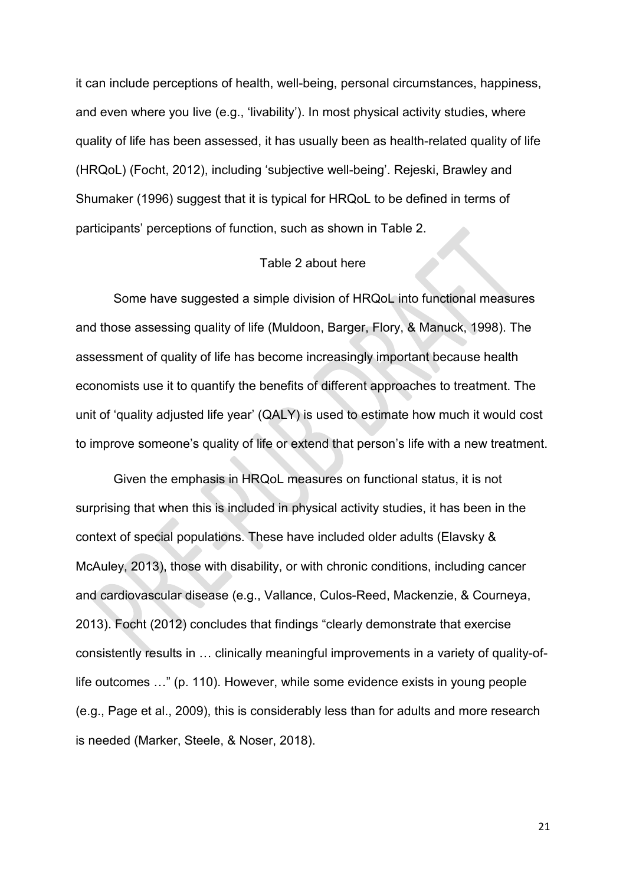it can include perceptions of health, well-being, personal circumstances, happiness, and even where you live (e.g., 'livability'). In most physical activity studies, where quality of life has been assessed, it has usually been as health-related quality of life (HRQoL) (Focht, 2012), including 'subjective well-being'. Rejeski, Brawley and Shumaker (1996) suggest that it is typical for HRQoL to be defined in terms of participants' perceptions of function, such as shown in Table 2.

#### Table 2 about here

Some have suggested a simple division of HRQoL into functional measures and those assessing quality of life (Muldoon, Barger, Flory, & Manuck, 1998). The assessment of quality of life has become increasingly important because health economists use it to quantify the benefits of different approaches to treatment. The unit of 'quality adjusted life year' (QALY) is used to estimate how much it would cost to improve someone's quality of life or extend that person's life with a new treatment.

Given the emphasis in HRQoL measures on functional status, it is not surprising that when this is included in physical activity studies, it has been in the context of special populations. These have included older adults (Elavsky & McAuley, 2013), those with disability, or with chronic conditions, including cancer and cardiovascular disease (e.g., Vallance, Culos-Reed, Mackenzie, & Courneya, 2013). Focht (2012) concludes that findings "clearly demonstrate that exercise consistently results in … clinically meaningful improvements in a variety of quality-oflife outcomes …" (p. 110). However, while some evidence exists in young people (e.g., Page et al., 2009), this is considerably less than for adults and more research is needed (Marker, Steele, & Noser, 2018).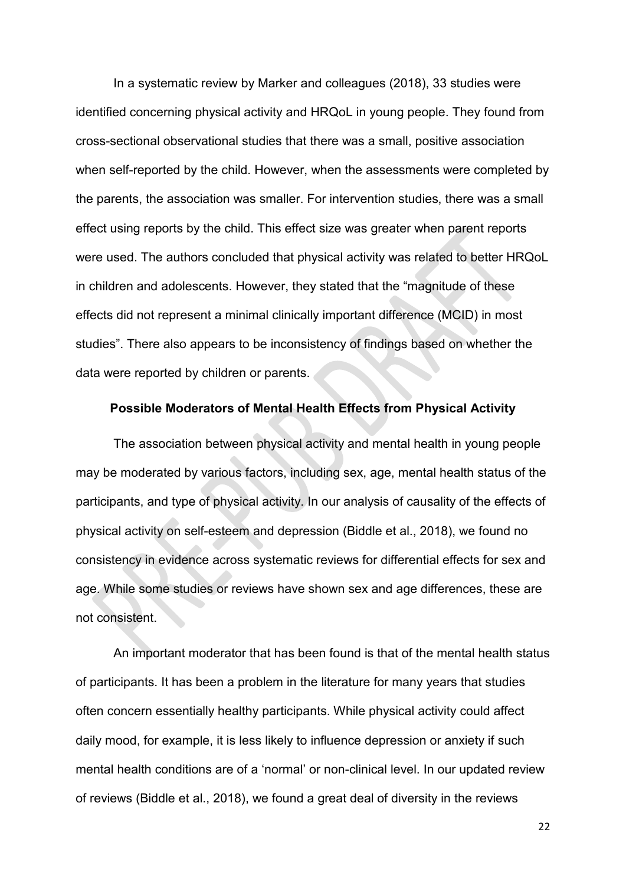In a systematic review by Marker and colleagues (2018), 33 studies were identified concerning physical activity and HRQoL in young people. They found from cross-sectional observational studies that there was a small, positive association when self-reported by the child. However, when the assessments were completed by the parents, the association was smaller. For intervention studies, there was a small effect using reports by the child. This effect size was greater when parent reports were used. The authors concluded that physical activity was related to better HRQoL in children and adolescents. However, they stated that the "magnitude of these effects did not represent a minimal clinically important difference (MCID) in most studies". There also appears to be inconsistency of findings based on whether the data were reported by children or parents.

# **Possible Moderators of Mental Health Effects from Physical Activity**

The association between physical activity and mental health in young people may be moderated by various factors, including sex, age, mental health status of the participants, and type of physical activity. In our analysis of causality of the effects of physical activity on self-esteem and depression (Biddle et al., 2018), we found no consistency in evidence across systematic reviews for differential effects for sex and age. While some studies or reviews have shown sex and age differences, these are not consistent.

An important moderator that has been found is that of the mental health status of participants. It has been a problem in the literature for many years that studies often concern essentially healthy participants. While physical activity could affect daily mood, for example, it is less likely to influence depression or anxiety if such mental health conditions are of a 'normal' or non-clinical level. In our updated review of reviews (Biddle et al., 2018), we found a great deal of diversity in the reviews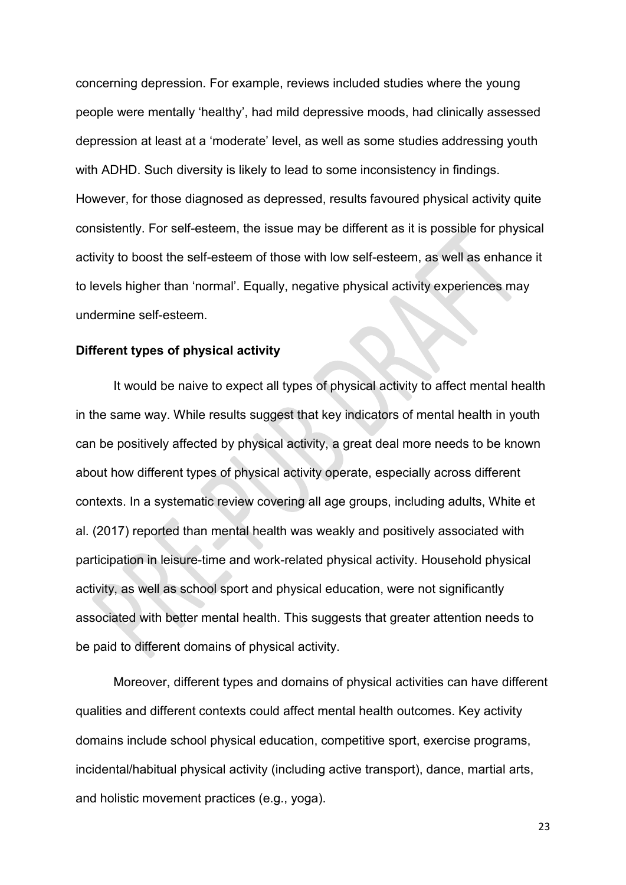concerning depression. For example, reviews included studies where the young people were mentally 'healthy', had mild depressive moods, had clinically assessed depression at least at a 'moderate' level, as well as some studies addressing youth with ADHD. Such diversity is likely to lead to some inconsistency in findings. However, for those diagnosed as depressed, results favoured physical activity quite consistently. For self-esteem, the issue may be different as it is possible for physical activity to boost the self-esteem of those with low self-esteem, as well as enhance it to levels higher than 'normal'. Equally, negative physical activity experiences may undermine self-esteem.

#### **Different types of physical activity**

It would be naive to expect all types of physical activity to affect mental health in the same way. While results suggest that key indicators of mental health in youth can be positively affected by physical activity, a great deal more needs to be known about how different types of physical activity operate, especially across different contexts. In a systematic review covering all age groups, including adults, White et al. (2017) reported than mental health was weakly and positively associated with participation in leisure-time and work-related physical activity. Household physical activity, as well as school sport and physical education, were not significantly associated with better mental health. This suggests that greater attention needs to be paid to different domains of physical activity.

Moreover, different types and domains of physical activities can have different qualities and different contexts could affect mental health outcomes. Key activity domains include school physical education, competitive sport, exercise programs, incidental/habitual physical activity (including active transport), dance, martial arts, and holistic movement practices (e.g., yoga).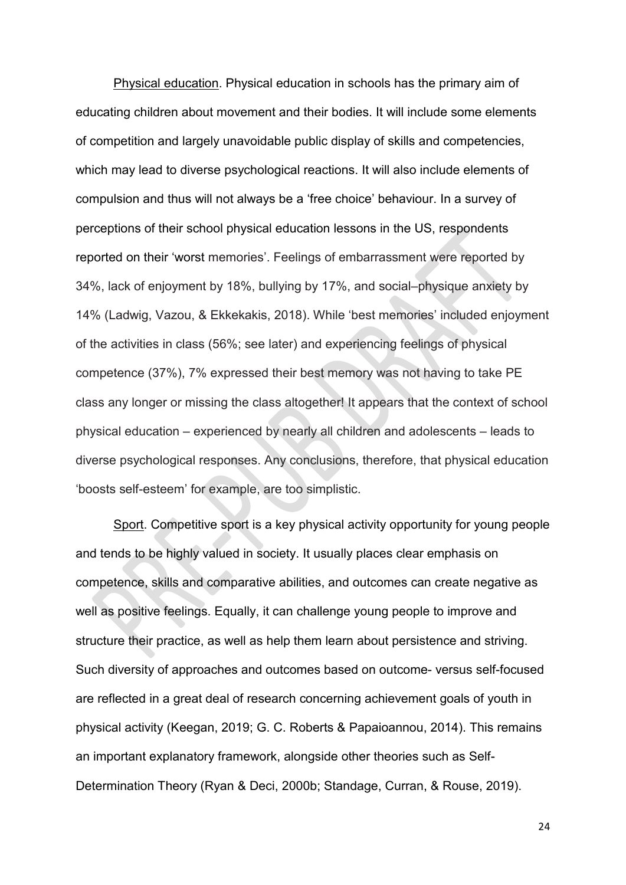Physical education. Physical education in schools has the primary aim of educating children about movement and their bodies. It will include some elements of competition and largely unavoidable public display of skills and competencies, which may lead to diverse psychological reactions. It will also include elements of compulsion and thus will not always be a 'free choice' behaviour. In a survey of perceptions of their school physical education lessons in the US, respondents reported on their 'worst memories'. Feelings of embarrassment were reported by 34%, lack of enjoyment by 18%, bullying by 17%, and social–physique anxiety by 14% (Ladwig, Vazou, & Ekkekakis, 2018). While 'best memories' included enjoyment of the activities in class (56%; see later) and experiencing feelings of physical competence (37%), 7% expressed their best memory was not having to take PE class any longer or missing the class altogether! It appears that the context of school physical education – experienced by nearly all children and adolescents – leads to diverse psychological responses. Any conclusions, therefore, that physical education 'boosts self-esteem' for example, are too simplistic.

Sport. Competitive sport is a key physical activity opportunity for young people and tends to be highly valued in society. It usually places clear emphasis on competence, skills and comparative abilities, and outcomes can create negative as well as positive feelings. Equally, it can challenge young people to improve and structure their practice, as well as help them learn about persistence and striving. Such diversity of approaches and outcomes based on outcome- versus self-focused are reflected in a great deal of research concerning achievement goals of youth in physical activity (Keegan, 2019; G. C. Roberts & Papaioannou, 2014). This remains an important explanatory framework, alongside other theories such as Self-Determination Theory (Ryan & Deci, 2000b; Standage, Curran, & Rouse, 2019).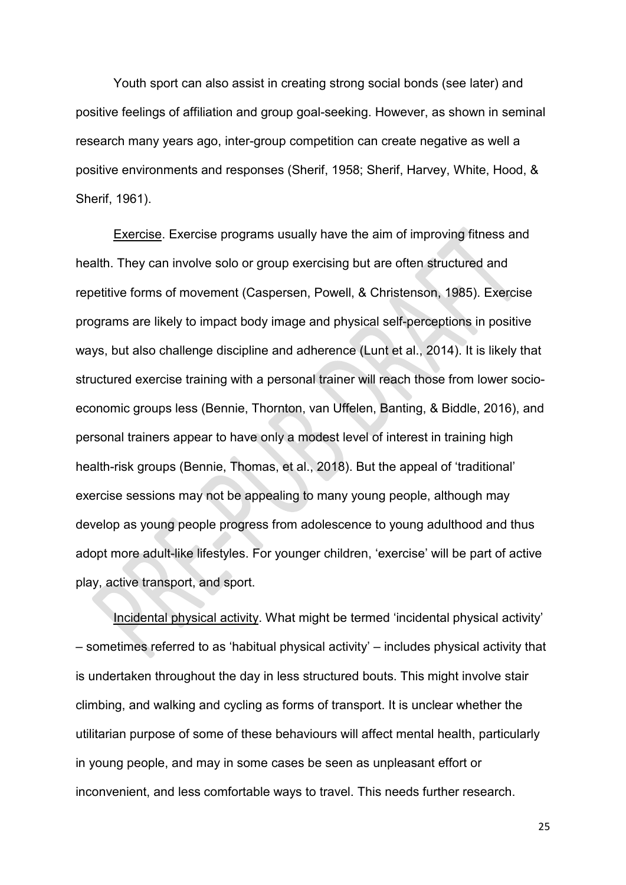Youth sport can also assist in creating strong social bonds (see later) and positive feelings of affiliation and group goal-seeking. However, as shown in seminal research many years ago, inter-group competition can create negative as well a positive environments and responses (Sherif, 1958; Sherif, Harvey, White, Hood, & Sherif, 1961).

Exercise. Exercise programs usually have the aim of improving fitness and health. They can involve solo or group exercising but are often structured and repetitive forms of movement (Caspersen, Powell, & Christenson, 1985). Exercise programs are likely to impact body image and physical self-perceptions in positive ways, but also challenge discipline and adherence (Lunt et al., 2014). It is likely that structured exercise training with a personal trainer will reach those from lower socioeconomic groups less (Bennie, Thornton, van Uffelen, Banting, & Biddle, 2016), and personal trainers appear to have only a modest level of interest in training high health-risk groups (Bennie, Thomas, et al., 2018). But the appeal of 'traditional' exercise sessions may not be appealing to many young people, although may develop as young people progress from adolescence to young adulthood and thus adopt more adult-like lifestyles. For younger children, 'exercise' will be part of active play, active transport, and sport.

Incidental physical activity. What might be termed 'incidental physical activity' – sometimes referred to as 'habitual physical activity' – includes physical activity that is undertaken throughout the day in less structured bouts. This might involve stair climbing, and walking and cycling as forms of transport. It is unclear whether the utilitarian purpose of some of these behaviours will affect mental health, particularly in young people, and may in some cases be seen as unpleasant effort or inconvenient, and less comfortable ways to travel. This needs further research.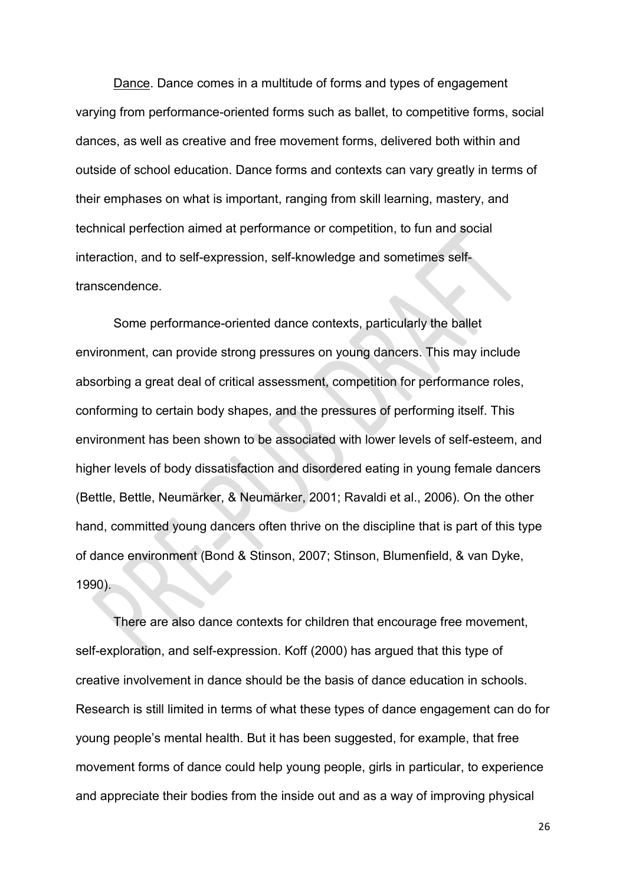Dance. Dance comes in a multitude of forms and types of engagement varying from performance-oriented forms such as ballet, to competitive forms, social dances, as well as creative and free movement forms, delivered both within and outside of school education. Dance forms and contexts can vary greatly in terms of their emphases on what is important, ranging from skill learning, mastery, and technical perfection aimed at performance or competition, to fun and social interaction, and to self-expression, self-knowledge and sometimes selftranscendence.

Some performance-oriented dance contexts, particularly the ballet environment, can provide strong pressures on young dancers. This may include absorbing a great deal of critical assessment, competition for performance roles, conforming to certain body shapes, and the pressures of performing itself. This environment has been shown to be associated with lower levels of self-esteem, and higher levels of body dissatisfaction and disordered eating in young female dancers (Bettle, Bettle, Neumärker, & Neumärker, 2001; Ravaldi et al., 2006). On the other hand, committed young dancers often thrive on the discipline that is part of this type of dance environment (Bond & Stinson, 2007; Stinson, Blumenfield, & van Dyke, 1990).

There are also dance contexts for children that encourage free movement, self-exploration, and self-expression. Koff (2000) has argued that this type of creative involvement in dance should be the basis of dance education in schools. Research is still limited in terms of what these types of dance engagement can do for young people's mental health. But it has been suggested, for example, that free movement forms of dance could help young people, girls in particular, to experience and appreciate their bodies from the inside out and as a way of improving physical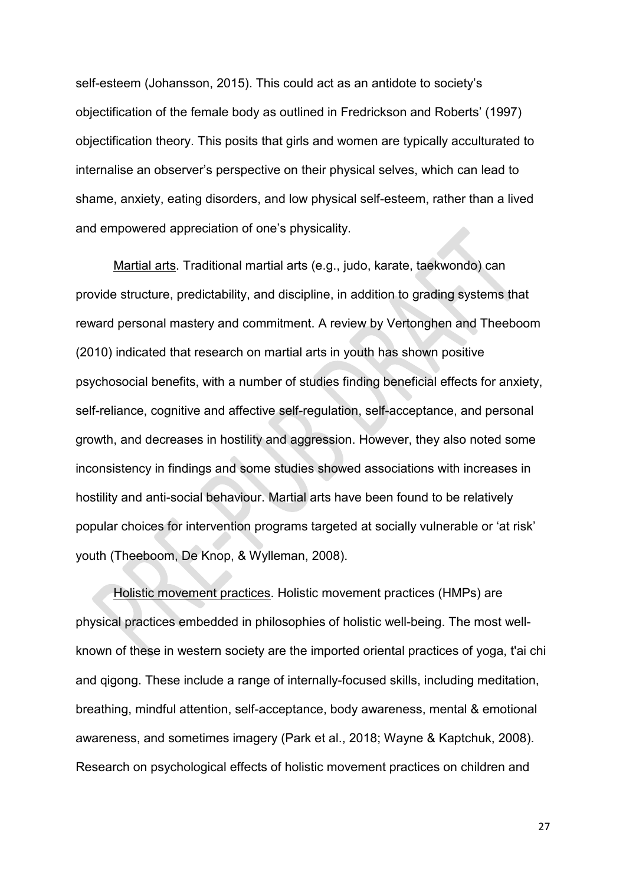self-esteem (Johansson, 2015). This could act as an antidote to society's objectification of the female body as outlined in Fredrickson and Roberts' (1997) objectification theory. This posits that girls and women are typically acculturated to internalise an observer's perspective on their physical selves, which can lead to shame, anxiety, eating disorders, and low physical self-esteem, rather than a lived and empowered appreciation of one's physicality.

Martial arts. Traditional martial arts (e.g., judo, karate, taekwondo) can provide structure, predictability, and discipline, in addition to grading systems that reward personal mastery and commitment. A review by Vertonghen and Theeboom (2010) indicated that research on martial arts in youth has shown positive psychosocial benefits, with a number of studies finding beneficial effects for anxiety, self-reliance, cognitive and affective self-regulation, self-acceptance, and personal growth, and decreases in hostility and aggression. However, they also noted some inconsistency in findings and some studies showed associations with increases in hostility and anti-social behaviour. Martial arts have been found to be relatively popular choices for intervention programs targeted at socially vulnerable or 'at risk' youth (Theeboom, De Knop, & Wylleman, 2008).

Holistic movement practices. Holistic movement practices (HMPs) are physical practices embedded in philosophies of holistic well-being. The most wellknown of these in western society are the imported oriental practices of yoga, t'ai chi and qigong. These include a range of internally-focused skills, including meditation, breathing, mindful attention, self-acceptance, body awareness, mental & emotional awareness, and sometimes imagery (Park et al., 2018; Wayne & Kaptchuk, 2008). Research on psychological effects of holistic movement practices on children and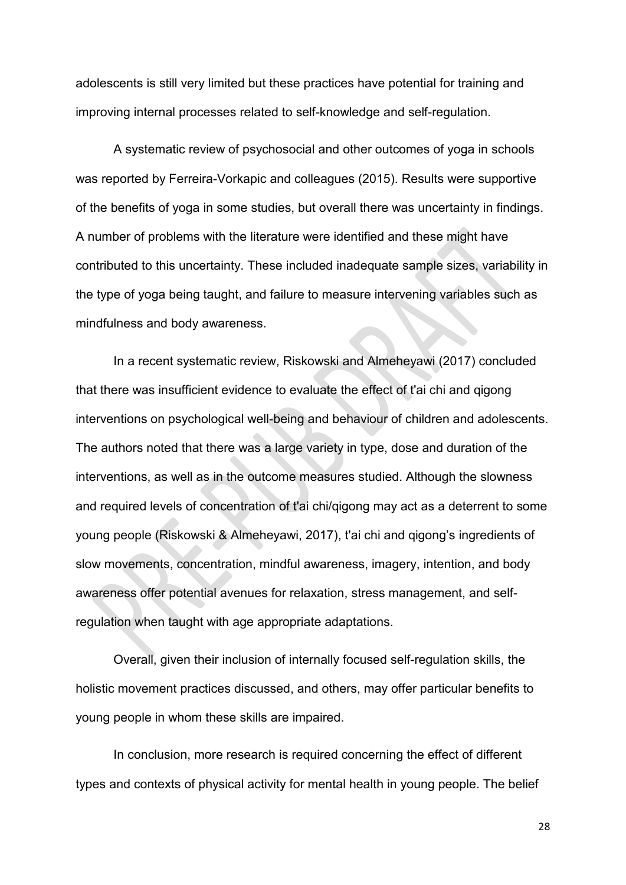adolescents is still very limited but these practices have potential for training and improving internal processes related to self-knowledge and self-regulation.

A systematic review of psychosocial and other outcomes of yoga in schools was reported by Ferreira-Vorkapic and colleagues (2015). Results were supportive of the benefits of yoga in some studies, but overall there was uncertainty in findings. A number of problems with the literature were identified and these might have contributed to this uncertainty. These included inadequate sample sizes, variability in the type of yoga being taught, and failure to measure intervening variables such as mindfulness and body awareness.

In a recent systematic review, Riskowski and Almeheyawi (2017) concluded that there was insufficient evidence to evaluate the effect of t'ai chi and qigong interventions on psychological well-being and behaviour of children and adolescents. The authors noted that there was a large variety in type, dose and duration of the interventions, as well as in the outcome measures studied. Although the slowness and required levels of concentration of t'ai chi/qigong may act as a deterrent to some young people (Riskowski & Almeheyawi, 2017), t'ai chi and qigong's ingredients of slow movements, concentration, mindful awareness, imagery, intention, and body awareness offer potential avenues for relaxation, stress management, and selfregulation when taught with age appropriate adaptations.

Overall, given their inclusion of internally focused self-regulation skills, the holistic movement practices discussed, and others, may offer particular benefits to young people in whom these skills are impaired.

In conclusion, more research is required concerning the effect of different types and contexts of physical activity for mental health in young people. The belief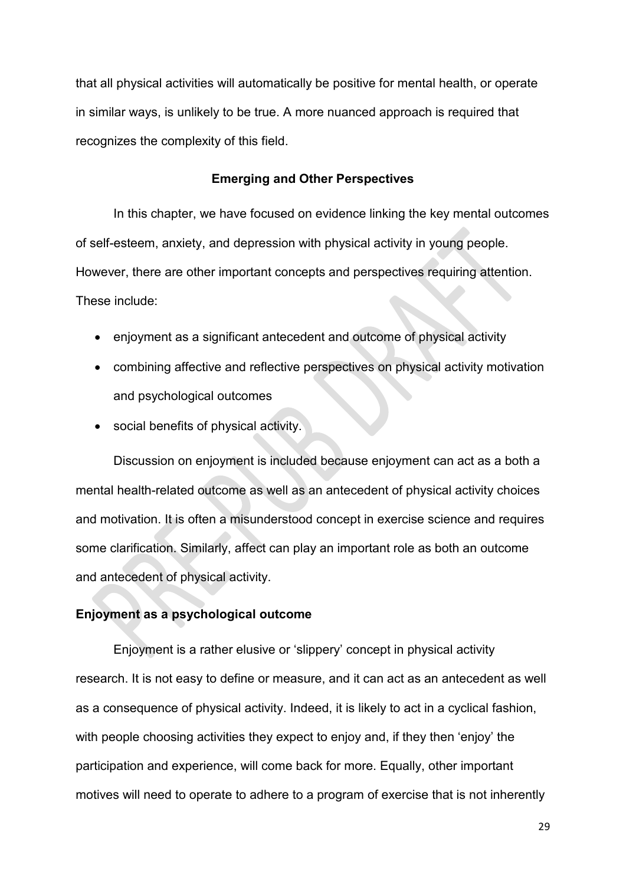that all physical activities will automatically be positive for mental health, or operate in similar ways, is unlikely to be true. A more nuanced approach is required that recognizes the complexity of this field.

## **Emerging and Other Perspectives**

In this chapter, we have focused on evidence linking the key mental outcomes of self-esteem, anxiety, and depression with physical activity in young people. However, there are other important concepts and perspectives requiring attention. These include:

- enjoyment as a significant antecedent and outcome of physical activity
- combining affective and reflective perspectives on physical activity motivation and psychological outcomes
- social benefits of physical activity.

Discussion on enjoyment is included because enjoyment can act as a both a mental health-related outcome as well as an antecedent of physical activity choices and motivation. It is often a misunderstood concept in exercise science and requires some clarification. Similarly, affect can play an important role as both an outcome and antecedent of physical activity.

## **Enjoyment as a psychological outcome**

Enjoyment is a rather elusive or 'slippery' concept in physical activity research. It is not easy to define or measure, and it can act as an antecedent as well as a consequence of physical activity. Indeed, it is likely to act in a cyclical fashion, with people choosing activities they expect to enjoy and, if they then 'enjoy' the participation and experience, will come back for more. Equally, other important motives will need to operate to adhere to a program of exercise that is not inherently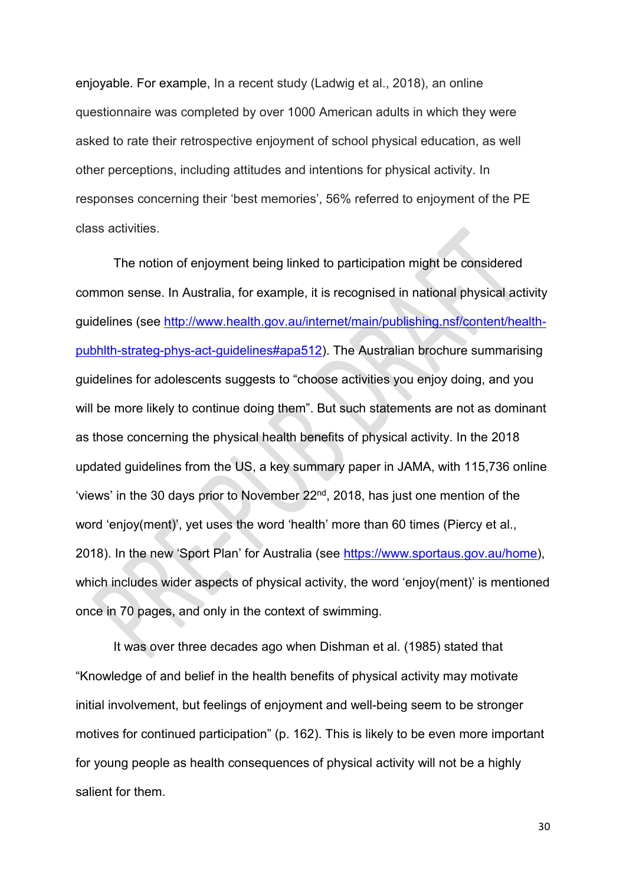enjoyable. For example, In a recent study (Ladwig et al., 2018), an online questionnaire was completed by over 1000 American adults in which they were asked to rate their retrospective enjoyment of school physical education, as well other perceptions, including attitudes and intentions for physical activity. In responses concerning their 'best memories', 56% referred to enjoyment of the PE class activities.

The notion of enjoyment being linked to participation might be considered common sense. In Australia, for example, it is recognised in national physical activity guidelines (see [http://www.health.gov.au/internet/main/publishing.nsf/content/health](http://www.health.gov.au/internet/main/publishing.nsf/content/health-pubhlth-strateg-phys-act-guidelines#apa512)[pubhlth-strateg-phys-act-guidelines#apa512\)](http://www.health.gov.au/internet/main/publishing.nsf/content/health-pubhlth-strateg-phys-act-guidelines#apa512). The Australian brochure summarising guidelines for adolescents suggests to "choose activities you enjoy doing, and you will be more likely to continue doing them". But such statements are not as dominant as those concerning the physical health benefits of physical activity. In the 2018 updated guidelines from the US, a key summary paper in JAMA, with 115,736 online 'views' in the 30 days prior to November  $22<sup>nd</sup>$ , 2018, has just one mention of the word 'enjoy(ment)', yet uses the word 'health' more than 60 times (Piercy et al., 2018). In the new 'Sport Plan' for Australia (see [https://www.sportaus.gov.au/home\)](https://www.sportaus.gov.au/home), which includes wider aspects of physical activity, the word 'enjoy(ment)' is mentioned once in 70 pages, and only in the context of swimming.

It was over three decades ago when Dishman et al. (1985) stated that "Knowledge of and belief in the health benefits of physical activity may motivate initial involvement, but feelings of enjoyment and well-being seem to be stronger motives for continued participation" (p. 162). This is likely to be even more important for young people as health consequences of physical activity will not be a highly salient for them.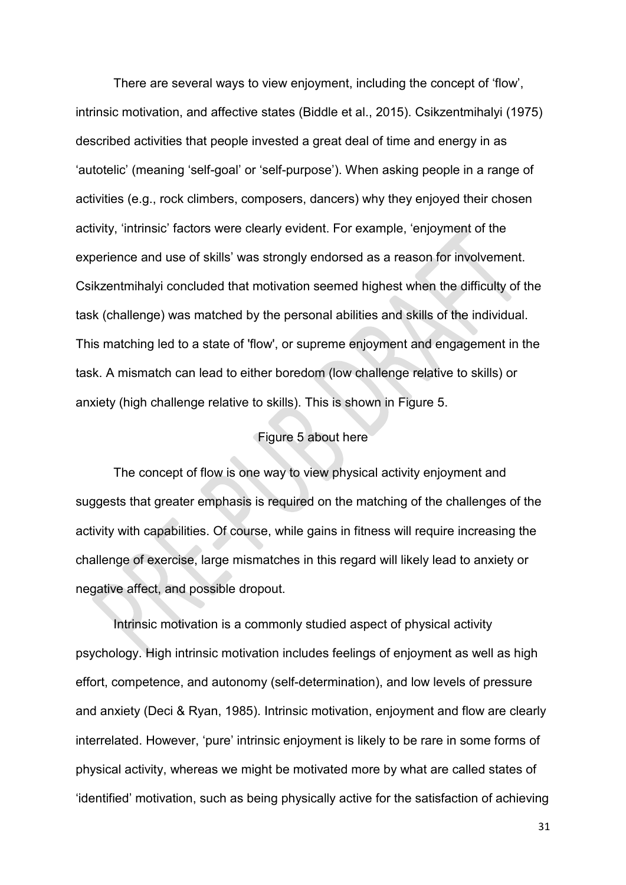There are several ways to view enjoyment, including the concept of 'flow', intrinsic motivation, and affective states (Biddle et al., 2015). Csikzentmihalyi (1975) described activities that people invested a great deal of time and energy in as 'autotelic' (meaning 'self-goal' or 'self-purpose'). When asking people in a range of activities (e.g., rock climbers, composers, dancers) why they enjoyed their chosen activity, 'intrinsic' factors were clearly evident. For example, 'enjoyment of the experience and use of skills' was strongly endorsed as a reason for involvement. Csikzentmihalyi concluded that motivation seemed highest when the difficulty of the task (challenge) was matched by the personal abilities and skills of the individual. This matching led to a state of 'flow', or supreme enjoyment and engagement in the task. A mismatch can lead to either boredom (low challenge relative to skills) or anxiety (high challenge relative to skills). This is shown in Figure 5.

# Figure 5 about here

The concept of flow is one way to view physical activity enjoyment and suggests that greater emphasis is required on the matching of the challenges of the activity with capabilities. Of course, while gains in fitness will require increasing the challenge of exercise, large mismatches in this regard will likely lead to anxiety or negative affect, and possible dropout.

Intrinsic motivation is a commonly studied aspect of physical activity psychology. High intrinsic motivation includes feelings of enjoyment as well as high effort, competence, and autonomy (self-determination), and low levels of pressure and anxiety (Deci & Ryan, 1985). Intrinsic motivation, enjoyment and flow are clearly interrelated. However, 'pure' intrinsic enjoyment is likely to be rare in some forms of physical activity, whereas we might be motivated more by what are called states of 'identified' motivation, such as being physically active for the satisfaction of achieving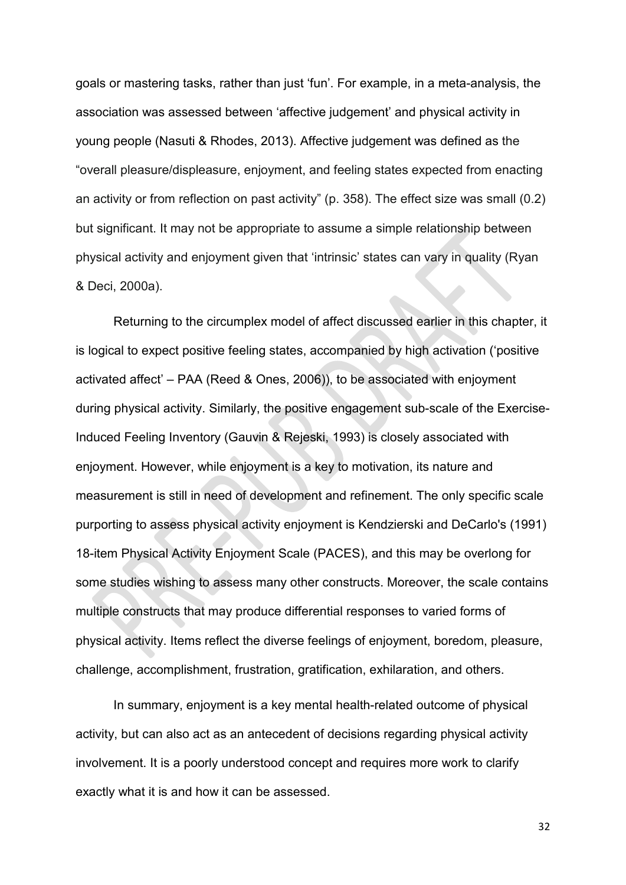goals or mastering tasks, rather than just 'fun'. For example, in a meta-analysis, the association was assessed between 'affective judgement' and physical activity in young people (Nasuti & Rhodes, 2013). Affective judgement was defined as the "overall pleasure/displeasure, enjoyment, and feeling states expected from enacting an activity or from reflection on past activity" (p. 358). The effect size was small (0.2) but significant. It may not be appropriate to assume a simple relationship between physical activity and enjoyment given that 'intrinsic' states can vary in quality (Ryan & Deci, 2000a).

Returning to the circumplex model of affect discussed earlier in this chapter, it is logical to expect positive feeling states, accompanied by high activation ('positive activated affect' – PAA (Reed & Ones, 2006)), to be associated with enjoyment during physical activity. Similarly, the positive engagement sub-scale of the Exercise-Induced Feeling Inventory (Gauvin & Rejeski, 1993) is closely associated with enjoyment. However, while enjoyment is a key to motivation, its nature and measurement is still in need of development and refinement. The only specific scale purporting to assess physical activity enjoyment is Kendzierski and DeCarlo's (1991) 18-item Physical Activity Enjoyment Scale (PACES), and this may be overlong for some studies wishing to assess many other constructs. Moreover, the scale contains multiple constructs that may produce differential responses to varied forms of physical activity. Items reflect the diverse feelings of enjoyment, boredom, pleasure, challenge, accomplishment, frustration, gratification, exhilaration, and others.

In summary, enjoyment is a key mental health-related outcome of physical activity, but can also act as an antecedent of decisions regarding physical activity involvement. It is a poorly understood concept and requires more work to clarify exactly what it is and how it can be assessed.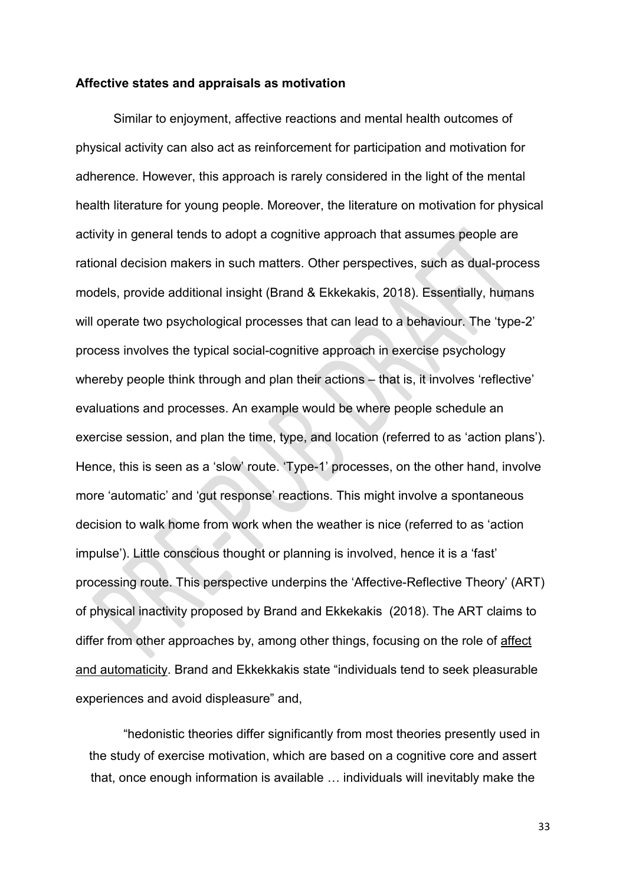#### **Affective states and appraisals as motivation**

Similar to enjoyment, affective reactions and mental health outcomes of physical activity can also act as reinforcement for participation and motivation for adherence. However, this approach is rarely considered in the light of the mental health literature for young people. Moreover, the literature on motivation for physical activity in general tends to adopt a cognitive approach that assumes people are rational decision makers in such matters. Other perspectives, such as dual-process models, provide additional insight (Brand & Ekkekakis, 2018). Essentially, humans will operate two psychological processes that can lead to a behaviour. The 'type-2' process involves the typical social-cognitive approach in exercise psychology whereby people think through and plan their actions – that is, it involves 'reflective' evaluations and processes. An example would be where people schedule an exercise session, and plan the time, type, and location (referred to as 'action plans'). Hence, this is seen as a 'slow' route. 'Type-1' processes, on the other hand, involve more 'automatic' and 'gut response' reactions. This might involve a spontaneous decision to walk home from work when the weather is nice (referred to as 'action impulse'). Little conscious thought or planning is involved, hence it is a 'fast' processing route. This perspective underpins the 'Affective-Reflective Theory' (ART) of physical inactivity proposed by Brand and Ekkekakis (2018). The ART claims to differ from other approaches by, among other things, focusing on the role of affect and automaticity. Brand and Ekkekkakis state "individuals tend to seek pleasurable experiences and avoid displeasure" and,

"hedonistic theories differ significantly from most theories presently used in the study of exercise motivation, which are based on a cognitive core and assert that, once enough information is available … individuals will inevitably make the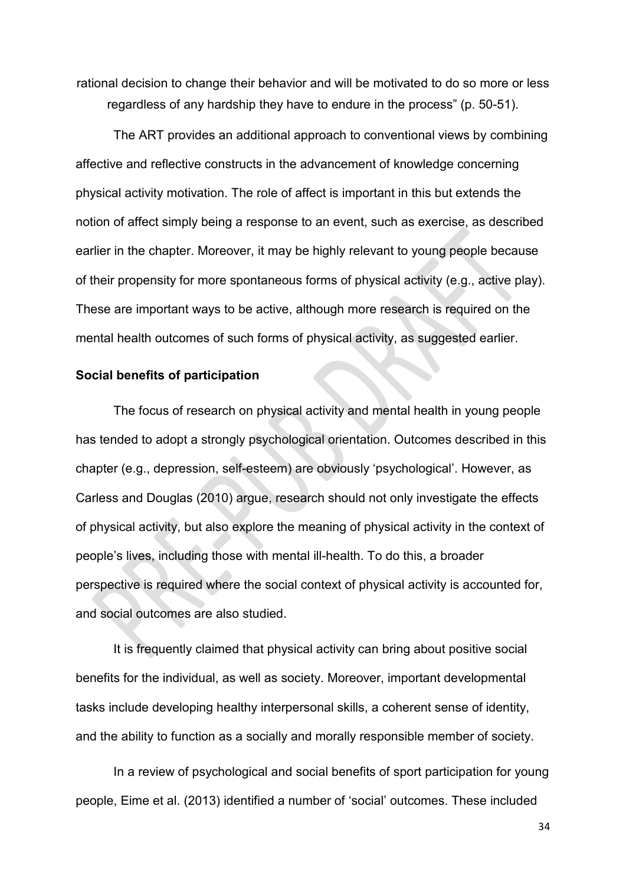rational decision to change their behavior and will be motivated to do so more or less regardless of any hardship they have to endure in the process" (p. 50-51).

The ART provides an additional approach to conventional views by combining affective and reflective constructs in the advancement of knowledge concerning physical activity motivation. The role of affect is important in this but extends the notion of affect simply being a response to an event, such as exercise, as described earlier in the chapter. Moreover, it may be highly relevant to young people because of their propensity for more spontaneous forms of physical activity (e.g., active play). These are important ways to be active, although more research is required on the mental health outcomes of such forms of physical activity, as suggested earlier.

#### **Social benefits of participation**

The focus of research on physical activity and mental health in young people has tended to adopt a strongly psychological orientation. Outcomes described in this chapter (e.g., depression, self-esteem) are obviously 'psychological'. However, as Carless and Douglas (2010) argue, research should not only investigate the effects of physical activity, but also explore the meaning of physical activity in the context of people's lives, including those with mental ill-health. To do this, a broader perspective is required where the social context of physical activity is accounted for, and social outcomes are also studied.

It is frequently claimed that physical activity can bring about positive social benefits for the individual, as well as society. Moreover, important developmental tasks include developing healthy interpersonal skills, a coherent sense of identity, and the ability to function as a socially and morally responsible member of society.

In a review of psychological and social benefits of sport participation for young people, Eime et al. (2013) identified a number of 'social' outcomes. These included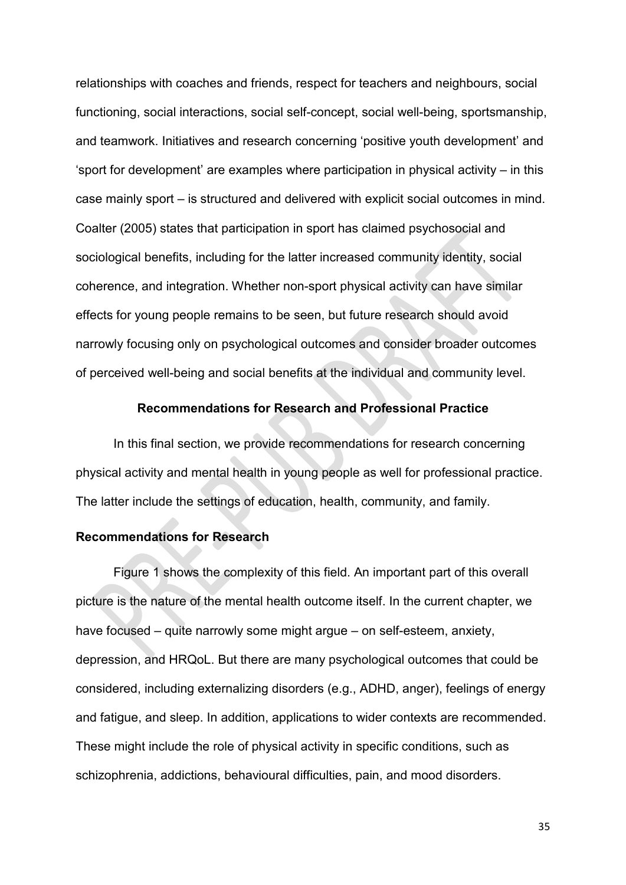relationships with coaches and friends, respect for teachers and neighbours, social functioning, social interactions, social self-concept, social well-being, sportsmanship, and teamwork. Initiatives and research concerning 'positive youth development' and 'sport for development' are examples where participation in physical activity – in this case mainly sport – is structured and delivered with explicit social outcomes in mind. Coalter (2005) states that participation in sport has claimed psychosocial and sociological benefits, including for the latter increased community identity, social coherence, and integration. Whether non-sport physical activity can have similar effects for young people remains to be seen, but future research should avoid narrowly focusing only on psychological outcomes and consider broader outcomes of perceived well-being and social benefits at the individual and community level.

# **Recommendations for Research and Professional Practice**

In this final section, we provide recommendations for research concerning physical activity and mental health in young people as well for professional practice. The latter include the settings of education, health, community, and family.

#### **Recommendations for Research**

Figure 1 shows the complexity of this field. An important part of this overall picture is the nature of the mental health outcome itself. In the current chapter, we have focused – quite narrowly some might argue – on self-esteem, anxiety, depression, and HRQoL. But there are many psychological outcomes that could be considered, including externalizing disorders (e.g., ADHD, anger), feelings of energy and fatigue, and sleep. In addition, applications to wider contexts are recommended. These might include the role of physical activity in specific conditions, such as schizophrenia, addictions, behavioural difficulties, pain, and mood disorders.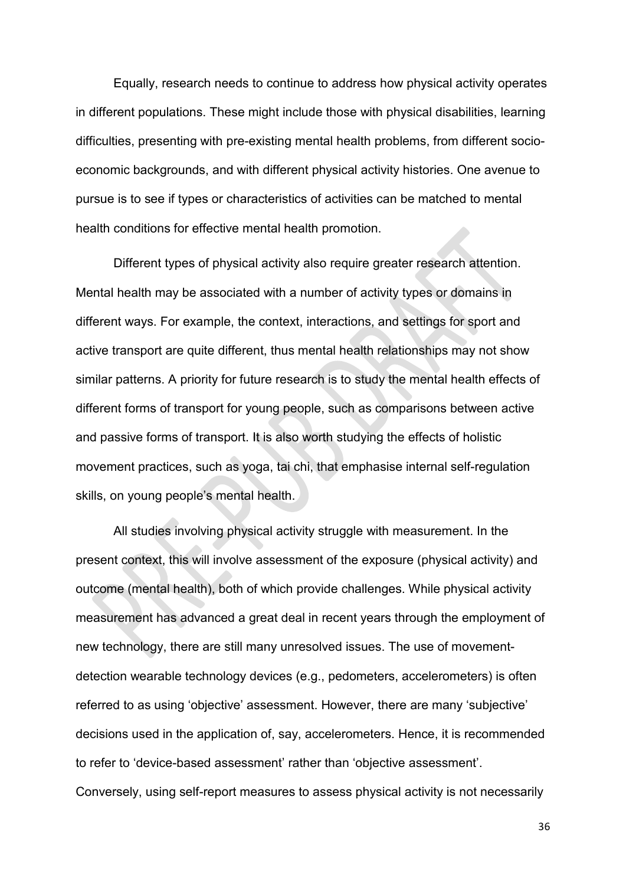Equally, research needs to continue to address how physical activity operates in different populations. These might include those with physical disabilities, learning difficulties, presenting with pre-existing mental health problems, from different socioeconomic backgrounds, and with different physical activity histories. One avenue to pursue is to see if types or characteristics of activities can be matched to mental health conditions for effective mental health promotion.

Different types of physical activity also require greater research attention. Mental health may be associated with a number of activity types or domains in different ways. For example, the context, interactions, and settings for sport and active transport are quite different, thus mental health relationships may not show similar patterns. A priority for future research is to study the mental health effects of different forms of transport for young people, such as comparisons between active and passive forms of transport. It is also worth studying the effects of holistic movement practices, such as yoga, tai chi, that emphasise internal self-regulation skills, on young people's mental health.

All studies involving physical activity struggle with measurement. In the present context, this will involve assessment of the exposure (physical activity) and outcome (mental health), both of which provide challenges. While physical activity measurement has advanced a great deal in recent years through the employment of new technology, there are still many unresolved issues. The use of movementdetection wearable technology devices (e.g., pedometers, accelerometers) is often referred to as using 'objective' assessment. However, there are many 'subjective' decisions used in the application of, say, accelerometers. Hence, it is recommended to refer to 'device-based assessment' rather than 'objective assessment'. Conversely, using self-report measures to assess physical activity is not necessarily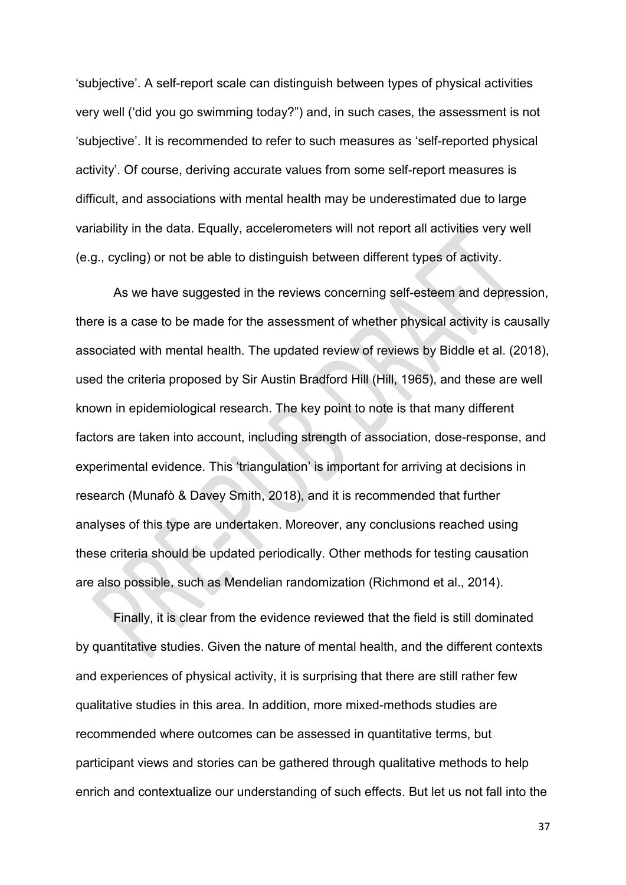'subjective'. A self-report scale can distinguish between types of physical activities very well ('did you go swimming today?") and, in such cases, the assessment is not 'subjective'. It is recommended to refer to such measures as 'self-reported physical activity'. Of course, deriving accurate values from some self-report measures is difficult, and associations with mental health may be underestimated due to large variability in the data. Equally, accelerometers will not report all activities very well (e.g., cycling) or not be able to distinguish between different types of activity.

As we have suggested in the reviews concerning self-esteem and depression, there is a case to be made for the assessment of whether physical activity is causally associated with mental health. The updated review of reviews by Biddle et al. (2018), used the criteria proposed by Sir Austin Bradford Hill (Hill, 1965), and these are well known in epidemiological research. The key point to note is that many different factors are taken into account, including strength of association, dose-response, and experimental evidence. This 'triangulation' is important for arriving at decisions in research (Munafò & Davey Smith, 2018), and it is recommended that further analyses of this type are undertaken. Moreover, any conclusions reached using these criteria should be updated periodically. Other methods for testing causation are also possible, such as Mendelian randomization (Richmond et al., 2014).

Finally, it is clear from the evidence reviewed that the field is still dominated by quantitative studies. Given the nature of mental health, and the different contexts and experiences of physical activity, it is surprising that there are still rather few qualitative studies in this area. In addition, more mixed-methods studies are recommended where outcomes can be assessed in quantitative terms, but participant views and stories can be gathered through qualitative methods to help enrich and contextualize our understanding of such effects. But let us not fall into the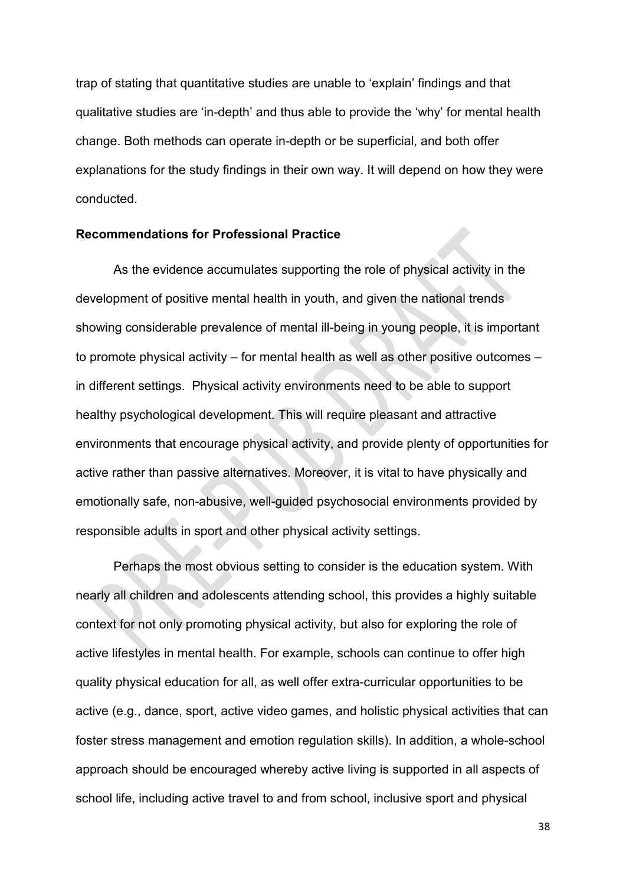trap of stating that quantitative studies are unable to 'explain' findings and that qualitative studies are 'in-depth' and thus able to provide the 'why' for mental health change. Both methods can operate in-depth or be superficial, and both offer explanations for the study findings in their own way. It will depend on how they were conducted.

#### **Recommendations for Professional Practice**

As the evidence accumulates supporting the role of physical activity in the development of positive mental health in youth, and given the national trends showing considerable prevalence of mental ill-being in young people, it is important to promote physical activity – for mental health as well as other positive outcomes – in different settings. Physical activity environments need to be able to support healthy psychological development. This will require pleasant and attractive environments that encourage physical activity, and provide plenty of opportunities for active rather than passive alternatives. Moreover, it is vital to have physically and emotionally safe, non-abusive, well-guided psychosocial environments provided by responsible adults in sport and other physical activity settings.

Perhaps the most obvious setting to consider is the education system. With nearly all children and adolescents attending school, this provides a highly suitable context for not only promoting physical activity, but also for exploring the role of active lifestyles in mental health. For example, schools can continue to offer high quality physical education for all, as well offer extra-curricular opportunities to be active (e.g., dance, sport, active video games, and holistic physical activities that can foster stress management and emotion regulation skills). In addition, a whole-school approach should be encouraged whereby active living is supported in all aspects of school life, including active travel to and from school, inclusive sport and physical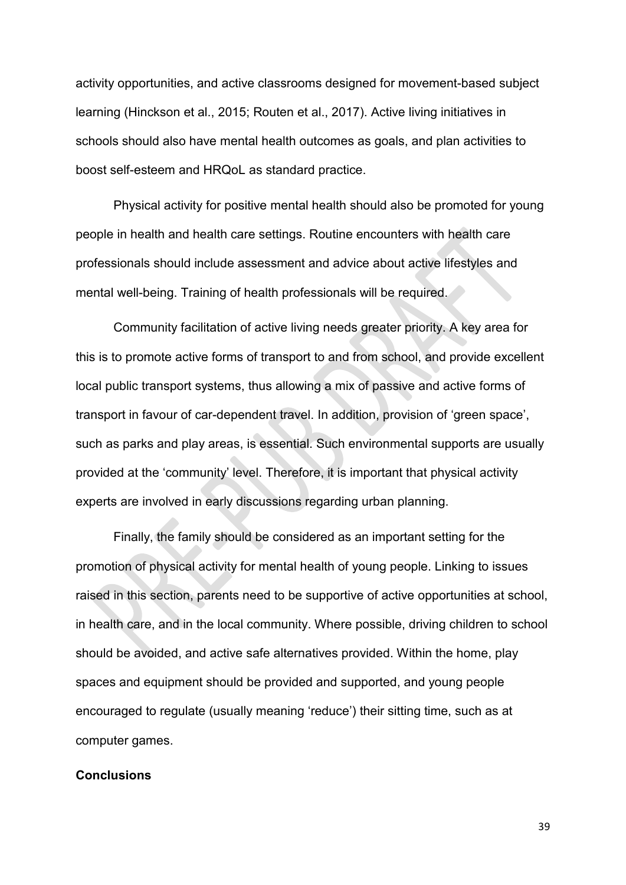activity opportunities, and active classrooms designed for movement-based subject learning (Hinckson et al., 2015; Routen et al., 2017). Active living initiatives in schools should also have mental health outcomes as goals, and plan activities to boost self-esteem and HRQoL as standard practice.

Physical activity for positive mental health should also be promoted for young people in health and health care settings. Routine encounters with health care professionals should include assessment and advice about active lifestyles and mental well-being. Training of health professionals will be required.

Community facilitation of active living needs greater priority. A key area for this is to promote active forms of transport to and from school, and provide excellent local public transport systems, thus allowing a mix of passive and active forms of transport in favour of car-dependent travel. In addition, provision of 'green space', such as parks and play areas, is essential. Such environmental supports are usually provided at the 'community' level. Therefore, it is important that physical activity experts are involved in early discussions regarding urban planning.

Finally, the family should be considered as an important setting for the promotion of physical activity for mental health of young people. Linking to issues raised in this section, parents need to be supportive of active opportunities at school, in health care, and in the local community. Where possible, driving children to school should be avoided, and active safe alternatives provided. Within the home, play spaces and equipment should be provided and supported, and young people encouraged to regulate (usually meaning 'reduce') their sitting time, such as at computer games.

## **Conclusions**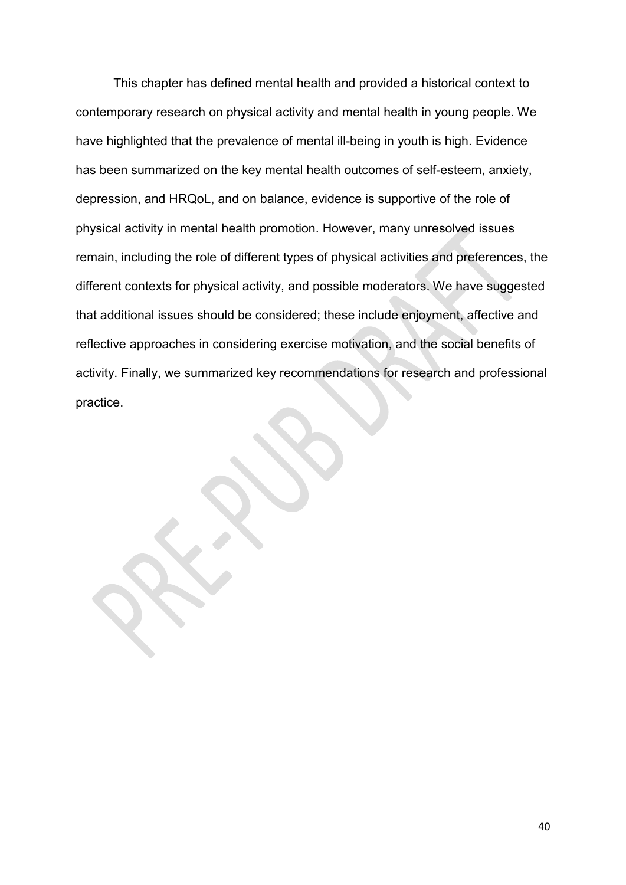This chapter has defined mental health and provided a historical context to contemporary research on physical activity and mental health in young people. We have highlighted that the prevalence of mental ill-being in youth is high. Evidence has been summarized on the key mental health outcomes of self-esteem, anxiety, depression, and HRQoL, and on balance, evidence is supportive of the role of physical activity in mental health promotion. However, many unresolved issues remain, including the role of different types of physical activities and preferences, the different contexts for physical activity, and possible moderators. We have suggested that additional issues should be considered; these include enjoyment, affective and reflective approaches in considering exercise motivation, and the social benefits of activity. Finally, we summarized key recommendations for research and professional practice.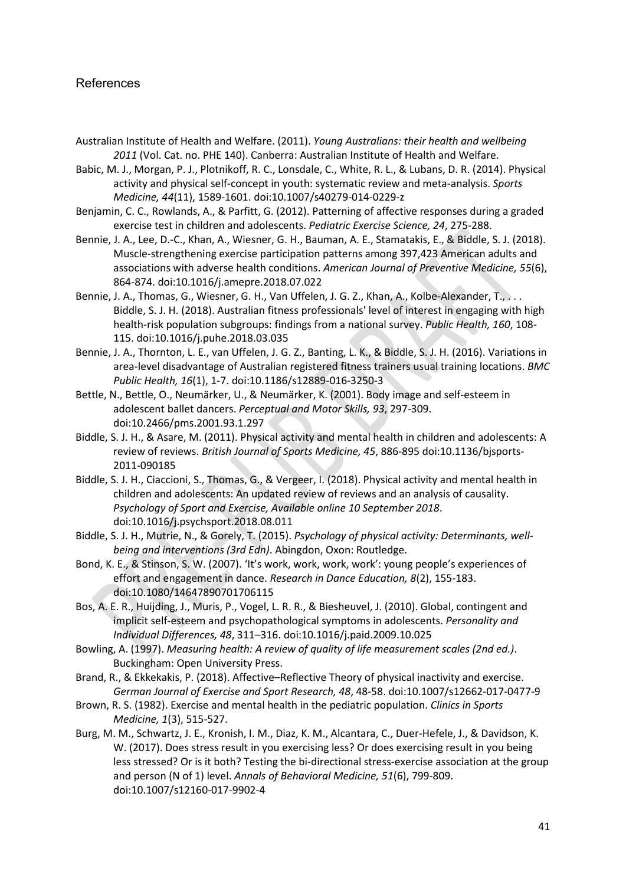## References

- Australian Institute of Health and Welfare. (2011). *Young Australians: their health and wellbeing 2011* (Vol. Cat. no. PHE 140). Canberra: Australian Institute of Health and Welfare.
- Babic, M. J., Morgan, P. J., Plotnikoff, R. C., Lonsdale, C., White, R. L., & Lubans, D. R. (2014). Physical activity and physical self-concept in youth: systematic review and meta-analysis. *Sports Medicine, 44*(11), 1589-1601. doi:10.1007/s40279-014-0229-z
- Benjamin, C. C., Rowlands, A., & Parfitt, G. (2012). Patterning of affective responses during a graded exercise test in children and adolescents. *Pediatric Exercise Science, 24*, 275-288.
- Bennie, J. A., Lee, D.-C., Khan, A., Wiesner, G. H., Bauman, A. E., Stamatakis, E., & Biddle, S. J. (2018). Muscle-strengthening exercise participation patterns among 397,423 American adults and associations with adverse health conditions. *American Journal of Preventive Medicine, 55*(6), 864-874. doi:10.1016/j.amepre.2018.07.022
- Bennie, J. A., Thomas, G., Wiesner, G. H., Van Uffelen, J. G. Z., Khan, A., Kolbe-Alexander, T., . . . Biddle, S. J. H. (2018). Australian fitness professionals' level of interest in engaging with high health-risk population subgroups: findings from a national survey. *Public Health, 160*, 108- 115. doi:10.1016/j.puhe.2018.03.035
- Bennie, J. A., Thornton, L. E., van Uffelen, J. G. Z., Banting, L. K., & Biddle, S. J. H. (2016). Variations in area-level disadvantage of Australian registered fitness trainers usual training locations. *BMC Public Health, 16*(1), 1-7. doi:10.1186/s12889-016-3250-3
- Bettle, N., Bettle, O., Neumärker, U., & Neumärker, K. (2001). Body image and self-esteem in adolescent ballet dancers. *Perceptual and Motor Skills, 93*, 297-309. doi:10.2466/pms.2001.93.1.297
- Biddle, S. J. H., & Asare, M. (2011). Physical activity and mental health in children and adolescents: A review of reviews. *British Journal of Sports Medicine, 45*, 886-895 doi:10.1136/bjsports-2011-090185
- Biddle, S. J. H., Ciaccioni, S., Thomas, G., & Vergeer, I. (2018). Physical activity and mental health in children and adolescents: An updated review of reviews and an analysis of causality. *Psychology of Sport and Exercise, Available online 10 September 2018*. doi:10.1016/j.psychsport.2018.08.011
- Biddle, S. J. H., Mutrie, N., & Gorely, T. (2015). *Psychology of physical activity: Determinants, wellbeing and interventions (3rd Edn)*. Abingdon, Oxon: Routledge.
- Bond, K. E., & Stinson, S. W. (2007). 'It's work, work, work, work': young people's experiences of effort and engagement in dance. *Research in Dance Education, 8*(2), 155-183. doi:10.1080/14647890701706115
- Bos, A. E. R., Huijding, J., Muris, P., Vogel, L. R. R., & Biesheuvel, J. (2010). Global, contingent and implicit self-esteem and psychopathological symptoms in adolescents. *Personality and Individual Differences, 48*, 311–316. doi:10.1016/j.paid.2009.10.025
- Bowling, A. (1997). *Measuring health: A review of quality of life measurement scales (2nd ed.)*. Buckingham: Open University Press.
- Brand, R., & Ekkekakis, P. (2018). Affective–Reflective Theory of physical inactivity and exercise. *German Journal of Exercise and Sport Research, 48*, 48-58. doi:10.1007/s12662-017-0477-9
- Brown, R. S. (1982). Exercise and mental health in the pediatric population. *Clinics in Sports Medicine, 1*(3), 515-527.
- Burg, M. M., Schwartz, J. E., Kronish, I. M., Diaz, K. M., Alcantara, C., Duer-Hefele, J., & Davidson, K. W. (2017). Does stress result in you exercising less? Or does exercising result in you being less stressed? Or is it both? Testing the bi-directional stress-exercise association at the group and person (N of 1) level. *Annals of Behavioral Medicine, 51*(6), 799-809. doi:10.1007/s12160-017-9902-4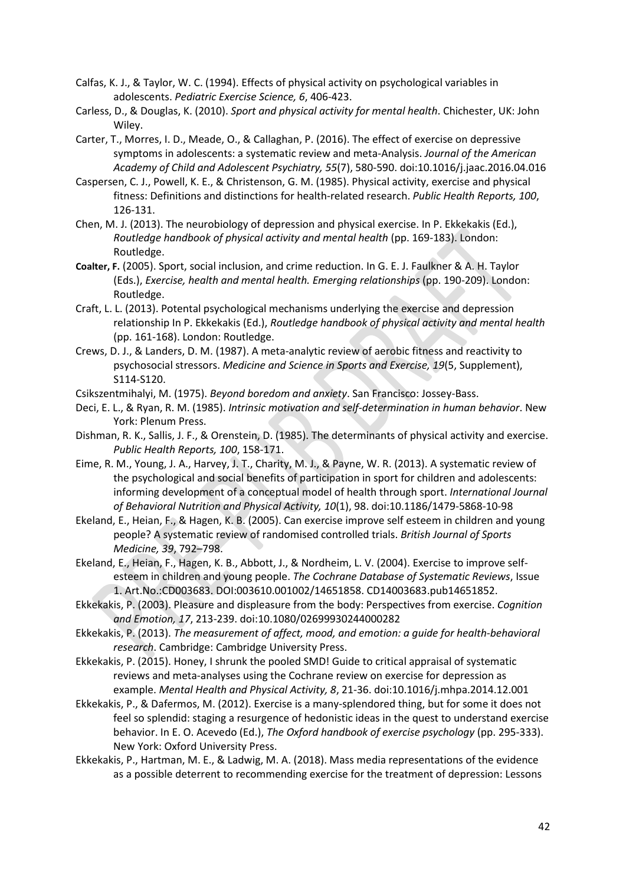- Calfas, K. J., & Taylor, W. C. (1994). Effects of physical activity on psychological variables in adolescents. *Pediatric Exercise Science, 6*, 406-423.
- Carless, D., & Douglas, K. (2010). *Sport and physical activity for mental health*. Chichester, UK: John Wiley.
- Carter, T., Morres, I. D., Meade, O., & Callaghan, P. (2016). The effect of exercise on depressive symptoms in adolescents: a systematic review and meta-Analysis. *Journal of the American Academy of Child and Adolescent Psychiatry, 55*(7), 580-590. doi:10.1016/j.jaac.2016.04.016
- Caspersen, C. J., Powell, K. E., & Christenson, G. M. (1985). Physical activity, exercise and physical fitness: Definitions and distinctions for health-related research. *Public Health Reports, 100*, 126-131.
- Chen, M. J. (2013). The neurobiology of depression and physical exercise. In P. Ekkekakis (Ed.), *Routledge handbook of physical activity and mental health* (pp. 169-183). London: Routledge.
- **Coalter, F.** (2005). Sport, social inclusion, and crime reduction. In G. E. J. Faulkner & A. H. Taylor (Eds.), *Exercise, health and mental health. Emerging relationships* (pp. 190-209). London: Routledge.
- Craft, L. L. (2013). Potental psychological mechanisms underlying the exercise and depression relationship In P. Ekkekakis (Ed.), *Routledge handbook of physical activity and mental health* (pp. 161-168). London: Routledge.
- Crews, D. J., & Landers, D. M. (1987). A meta-analytic review of aerobic fitness and reactivity to psychosocial stressors. *Medicine and Science in Sports and Exercise, 19*(5, Supplement), S114-S120.
- Csikszentmihalyi, M. (1975). *Beyond boredom and anxiety*. San Francisco: Jossey-Bass.
- Deci, E. L., & Ryan, R. M. (1985). *Intrinsic motivation and self-determination in human behavior*. New York: Plenum Press.
- Dishman, R. K., Sallis, J. F., & Orenstein, D. (1985). The determinants of physical activity and exercise. *Public Health Reports, 100*, 158-171.
- Eime, R. M., Young, J. A., Harvey, J. T., Charity, M. J., & Payne, W. R. (2013). A systematic review of the psychological and social benefits of participation in sport for children and adolescents: informing development of a conceptual model of health through sport. *International Journal of Behavioral Nutrition and Physical Activity, 10*(1), 98. doi:10.1186/1479-5868-10-98
- Ekeland, E., Heian, F., & Hagen, K. B. (2005). Can exercise improve self esteem in children and young people? A systematic review of randomised controlled trials. *British Journal of Sports Medicine, 39*, 792–798.
- Ekeland, E., Heian, F., Hagen, K. B., Abbott, J., & Nordheim, L. V. (2004). Exercise to improve selfesteem in children and young people. *The Cochrane Database of Systematic Reviews*, Issue 1. Art.No.:CD003683. DOI:003610.001002/14651858. CD14003683.pub14651852.
- Ekkekakis, P. (2003). Pleasure and displeasure from the body: Perspectives from exercise. *Cognition and Emotion, 17*, 213-239. doi:10.1080/02699930244000282
- Ekkekakis, P. (2013). *The measurement of affect, mood, and emotion: a guide for health-behavioral research*. Cambridge: Cambridge University Press.
- Ekkekakis, P. (2015). Honey, I shrunk the pooled SMD! Guide to critical appraisal of systematic reviews and meta-analyses using the Cochrane review on exercise for depression as example. *Mental Health and Physical Activity, 8*, 21-36. doi:10.1016/j.mhpa.2014.12.001
- Ekkekakis, P., & Dafermos, M. (2012). Exercise is a many-splendored thing, but for some it does not feel so splendid: staging a resurgence of hedonistic ideas in the quest to understand exercise behavior. In E. O. Acevedo (Ed.), *The Oxford handbook of exercise psychology* (pp. 295-333). New York: Oxford University Press.
- Ekkekakis, P., Hartman, M. E., & Ladwig, M. A. (2018). Mass media representations of the evidence as a possible deterrent to recommending exercise for the treatment of depression: Lessons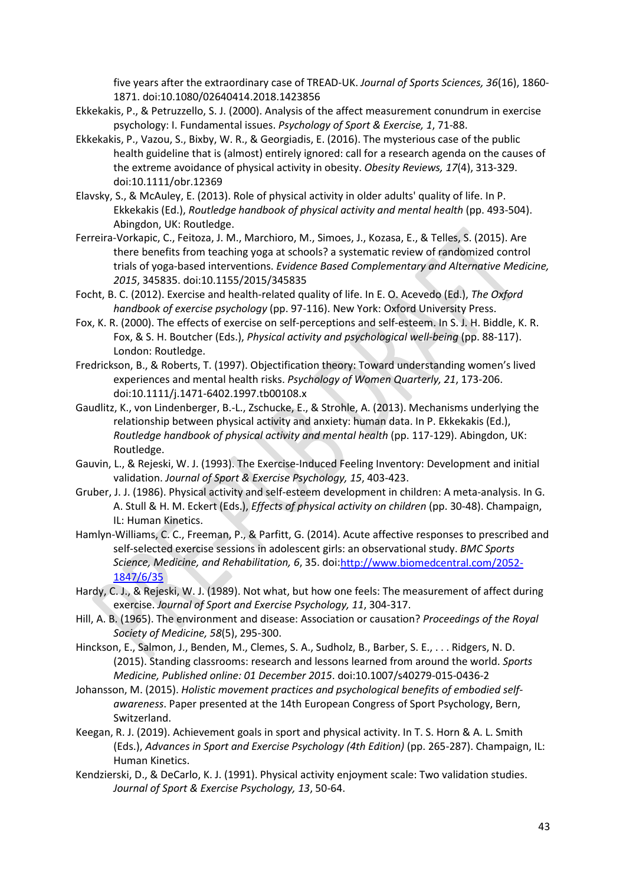five years after the extraordinary case of TREAD-UK. *Journal of Sports Sciences, 36*(16), 1860- 1871. doi:10.1080/02640414.2018.1423856

- Ekkekakis, P., & Petruzzello, S. J. (2000). Analysis of the affect measurement conundrum in exercise psychology: I. Fundamental issues. *Psychology of Sport & Exercise, 1*, 71-88.
- Ekkekakis, P., Vazou, S., Bixby, W. R., & Georgiadis, E. (2016). The mysterious case of the public health guideline that is (almost) entirely ignored: call for a research agenda on the causes of the extreme avoidance of physical activity in obesity. *Obesity Reviews, 17*(4), 313-329. doi:10.1111/obr.12369
- Elavsky, S., & McAuley, E. (2013). Role of physical activity in older adults' quality of life. In P. Ekkekakis (Ed.), *Routledge handbook of physical activity and mental health* (pp. 493-504). Abingdon, UK: Routledge.
- Ferreira-Vorkapic, C., Feitoza, J. M., Marchioro, M., Simoes, J., Kozasa, E., & Telles, S. (2015). Are there benefits from teaching yoga at schools? a systematic review of randomized control trials of yoga-based interventions. *Evidence Based Complementary and Alternative Medicine, 2015*, 345835. doi:10.1155/2015/345835
- Focht, B. C. (2012). Exercise and health-related quality of life. In E. O. Acevedo (Ed.), *The Oxford handbook of exercise psychology* (pp. 97-116). New York: Oxford University Press.
- Fox, K. R. (2000). The effects of exercise on self-perceptions and self-esteem. In S. J. H. Biddle, K. R. Fox, & S. H. Boutcher (Eds.), *Physical activity and psychological well-being* (pp. 88-117). London: Routledge.
- Fredrickson, B., & Roberts, T. (1997). Objectification theory: Toward understanding women's lived experiences and mental health risks. *Psychology of Women Quarterly, 21*, 173-206. doi:10.1111/j.1471-6402.1997.tb00108.x
- Gaudlitz, K., von Lindenberger, B.-L., Zschucke, E., & Strohle, A. (2013). Mechanisms underlying the relationship between physical activity and anxiety: human data. In P. Ekkekakis (Ed.), *Routledge handbook of physical activity and mental health* (pp. 117-129). Abingdon, UK: Routledge.
- Gauvin, L., & Rejeski, W. J. (1993). The Exercise-Induced Feeling Inventory: Development and initial validation. *Journal of Sport & Exercise Psychology, 15*, 403-423.
- Gruber, J. J. (1986). Physical activity and self-esteem development in children: A meta-analysis. In G. A. Stull & H. M. Eckert (Eds.), *Effects of physical activity on children* (pp. 30-48). Champaign, IL: Human Kinetics.
- Hamlyn-Williams, C. C., Freeman, P., & Parfitt, G. (2014). Acute affective responses to prescribed and self-selected exercise sessions in adolescent girls: an observational study. *BMC Sports Science, Medicine, and Rehabilitation, 6*, 35. doi[:http://www.biomedcentral.com/2052-](http://www.biomedcentral.com/2052-1847/6/35) [1847/6/35](http://www.biomedcentral.com/2052-1847/6/35)
- Hardy, C. J., & Rejeski, W. J. (1989). Not what, but how one feels: The measurement of affect during exercise. *Journal of Sport and Exercise Psychology, 11*, 304-317.
- Hill, A. B. (1965). The environment and disease: Association or causation? *Proceedings of the Royal Society of Medicine, 58*(5), 295-300.
- Hinckson, E., Salmon, J., Benden, M., Clemes, S. A., Sudholz, B., Barber, S. E., . . . Ridgers, N. D. (2015). Standing classrooms: research and lessons learned from around the world. *Sports Medicine, Published online: 01 December 2015*. doi:10.1007/s40279-015-0436-2
- Johansson, M. (2015). *Holistic movement practices and psychological benefits of embodied selfawareness*. Paper presented at the 14th European Congress of Sport Psychology, Bern, Switzerland.
- Keegan, R. J. (2019). Achievement goals in sport and physical activity. In T. S. Horn & A. L. Smith (Eds.), *Advances in Sport and Exercise Psychology (4th Edition)* (pp. 265-287). Champaign, IL: Human Kinetics.
- Kendzierski, D., & DeCarlo, K. J. (1991). Physical activity enjoyment scale: Two validation studies. *Journal of Sport & Exercise Psychology, 13*, 50-64.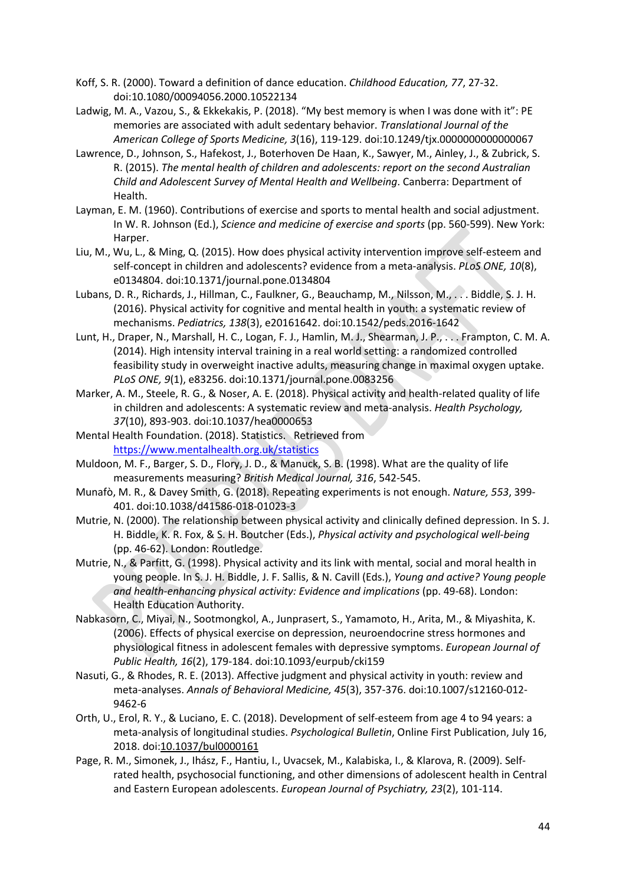- Koff, S. R. (2000). Toward a definition of dance education. *Childhood Education, 77*, 27-32. doi:10.1080/00094056.2000.10522134
- Ladwig, M. A., Vazou, S., & Ekkekakis, P. (2018). "My best memory is when I was done with it": PE memories are associated with adult sedentary behavior. *Translational Journal of the American College of Sports Medicine, 3*(16), 119-129. doi:10.1249/tjx.0000000000000067
- Lawrence, D., Johnson, S., Hafekost, J., Boterhoven De Haan, K., Sawyer, M., Ainley, J., & Zubrick, S. R. (2015). *The mental health of children and adolescents: report on the second Australian Child and Adolescent Survey of Mental Health and Wellbeing*. Canberra: Department of Health.
- Layman, E. M. (1960). Contributions of exercise and sports to mental health and social adjustment. In W. R. Johnson (Ed.), *Science and medicine of exercise and sports* (pp. 560-599). New York: Harper.
- Liu, M., Wu, L., & Ming, Q. (2015). How does physical activity intervention improve self-esteem and self-concept in children and adolescents? evidence from a meta-analysis. *PLoS ONE, 10*(8), e0134804. doi:10.1371/journal.pone.0134804
- Lubans, D. R., Richards, J., Hillman, C., Faulkner, G., Beauchamp, M., Nilsson, M., . . . Biddle, S. J. H. (2016). Physical activity for cognitive and mental health in youth: a systematic review of mechanisms. *Pediatrics, 138*(3), e20161642. doi:10.1542/peds.2016-1642
- Lunt, H., Draper, N., Marshall, H. C., Logan, F. J., Hamlin, M. J., Shearman, J. P., ... Frampton, C. M. A. (2014). High intensity interval training in a real world setting: a randomized controlled feasibility study in overweight inactive adults, measuring change in maximal oxygen uptake. *PLoS ONE, 9*(1), e83256. doi:10.1371/journal.pone.0083256
- Marker, A. M., Steele, R. G., & Noser, A. E. (2018). Physical activity and health-related quality of life in children and adolescents: A systematic review and meta-analysis. *Health Psychology, 37*(10), 893-903. doi:10.1037/hea0000653
- Mental Health Foundation. (2018). Statistics. Retrieved from <https://www.mentalhealth.org.uk/statistics>
- Muldoon, M. F., Barger, S. D., Flory, J. D., & Manuck, S. B. (1998). What are the quality of life measurements measuring? *British Medical Journal, 316*, 542-545.
- Munafò, M. R., & Davey Smith, G. (2018). Repeating experiments is not enough. *Nature, 553*, 399- 401. doi:10.1038/d41586-018-01023-3
- Mutrie, N. (2000). The relationship between physical activity and clinically defined depression. In S. J. H. Biddle, K. R. Fox, & S. H. Boutcher (Eds.), *Physical activity and psychological well-being* (pp. 46-62). London: Routledge.
- Mutrie, N., & Parfitt, G. (1998). Physical activity and its link with mental, social and moral health in young people. In S. J. H. Biddle, J. F. Sallis, & N. Cavill (Eds.), *Young and active? Young people and health-enhancing physical activity: Evidence and implications* (pp. 49-68). London: Health Education Authority.
- Nabkasorn, C., Miyai, N., Sootmongkol, A., Junprasert, S., Yamamoto, H., Arita, M., & Miyashita, K. (2006). Effects of physical exercise on depression, neuroendocrine stress hormones and physiological fitness in adolescent females with depressive symptoms. *European Journal of Public Health, 16*(2), 179-184. doi:10.1093/eurpub/cki159
- Nasuti, G., & Rhodes, R. E. (2013). Affective judgment and physical activity in youth: review and meta-analyses. *Annals of Behavioral Medicine, 45*(3), 357-376. doi:10.1007/s12160-012- 9462-6
- Orth, U., Erol, R. Y., & Luciano, E. C. (2018). Development of self-esteem from age 4 to 94 years: a meta-analysis of longitudinal studies. *Psychological Bulletin*, Online First Publication, July 16, 2018. doi:10.1037/bul0000161
- Page, R. M., Simonek, J., Ihász, F., Hantiu, I., Uvacsek, M., Kalabiska, I., & Klarova, R. (2009). Selfrated health, psychosocial functioning, and other dimensions of adolescent health in Central and Eastern European adolescents. *European Journal of Psychiatry, 23*(2), 101-114.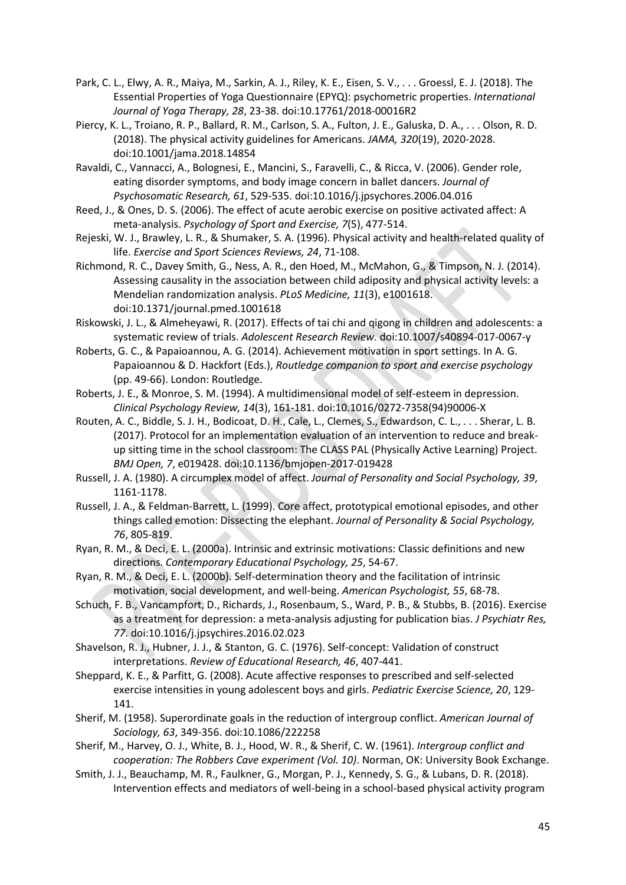- Park, C. L., Elwy, A. R., Maiya, M., Sarkin, A. J., Riley, K. E., Eisen, S. V., . . . Groessl, E. J. (2018). The Essential Properties of Yoga Questionnaire (EPYQ): psychometric properties. *International Journal of Yoga Therapy, 28*, 23-38. doi:10.17761/2018-00016R2
- Piercy, K. L., Troiano, R. P., Ballard, R. M., Carlson, S. A., Fulton, J. E., Galuska, D. A., . . . Olson, R. D. (2018). The physical activity guidelines for Americans. *JAMA, 320*(19), 2020-2028. doi:10.1001/jama.2018.14854
- Ravaldi, C., Vannacci, A., Bolognesi, E., Mancini, S., Faravelli, C., & Ricca, V. (2006). Gender role, eating disorder symptoms, and body image concern in ballet dancers. *Journal of Psychosomatic Research, 61*, 529-535. doi:10.1016/j.jpsychores.2006.04.016
- Reed, J., & Ones, D. S. (2006). The effect of acute aerobic exercise on positive activated affect: A meta-analysis. *Psychology of Sport and Exercise, 7*(5), 477-514.
- Rejeski, W. J., Brawley, L. R., & Shumaker, S. A. (1996). Physical activity and health-related quality of life. *Exercise and Sport Sciences Reviews, 24*, 71-108.
- Richmond, R. C., Davey Smith, G., Ness, A. R., den Hoed, M., McMahon, G., & Timpson, N. J. (2014). Assessing causality in the association between child adiposity and physical activity levels: a Mendelian randomization analysis. *PLoS Medicine, 11*(3), e1001618. doi:10.1371/journal.pmed.1001618
- Riskowski, J. L., & Almeheyawi, R. (2017). Effects of tai chi and qigong in children and adolescents: a systematic review of trials. *Adolescent Research Review*. doi:10.1007/s40894-017-0067-y
- Roberts, G. C., & Papaioannou, A. G. (2014). Achievement motivation in sport settings. In A. G. Papaioannou & D. Hackfort (Eds.), *Routledge companion to sport and exercise psychology* (pp. 49-66). London: Routledge.
- Roberts, J. E., & Monroe, S. M. (1994). A multidimensional model of self-esteem in depression. *Clinical Psychology Review, 14*(3), 161-181. doi:10.1016/0272-7358(94)90006-X
- Routen, A. C., Biddle, S. J. H., Bodicoat, D. H., Cale, L., Clemes, S., Edwardson, C. L., . . . Sherar, L. B. (2017). Protocol for an implementation evaluation of an intervention to reduce and breakup sitting time in the school classroom: The CLASS PAL (Physically Active Learning) Project. *BMJ Open, 7*, e019428. doi:10.1136/bmjopen-2017-019428
- Russell, J. A. (1980). A circumplex model of affect. *Journal of Personality and Social Psychology, 39*, 1161-1178.
- Russell, J. A., & Feldman-Barrett, L. (1999). Core affect, prototypical emotional episodes, and other things called emotion: Dissecting the elephant. *Journal of Personality & Social Psychology, 76*, 805-819.
- Ryan, R. M., & Deci, E. L. (2000a). Intrinsic and extrinsic motivations: Classic definitions and new directions. *Contemporary Educational Psychology, 25*, 54-67.
- Ryan, R. M., & Deci, E. L. (2000b). Self-determination theory and the facilitation of intrinsic motivation, social development, and well-being. *American Psychologist, 55*, 68-78.
- Schuch, F. B., Vancampfort, D., Richards, J., Rosenbaum, S., Ward, P. B., & Stubbs, B. (2016). Exercise as a treatment for depression: a meta-analysis adjusting for publication bias. *J Psychiatr Res, 77*. doi:10.1016/j.jpsychires.2016.02.023
- Shavelson, R. J., Hubner, J. J., & Stanton, G. C. (1976). Self-concept: Validation of construct interpretations. *Review of Educational Research, 46*, 407-441.
- Sheppard, K. E., & Parfitt, G. (2008). Acute affective responses to prescribed and self-selected exercise intensities in young adolescent boys and girls. *Pediatric Exercise Science, 20*, 129- 141.
- Sherif, M. (1958). Superordinate goals in the reduction of intergroup conflict. *American Journal of Sociology, 63*, 349-356. doi:10.1086/222258
- Sherif, M., Harvey, O. J., White, B. J., Hood, W. R., & Sherif, C. W. (1961). *Intergroup conflict and cooperation: The Robbers Cave experiment (Vol. 10)*. Norman, OK: University Book Exchange.
- Smith, J. J., Beauchamp, M. R., Faulkner, G., Morgan, P. J., Kennedy, S. G., & Lubans, D. R. (2018). Intervention effects and mediators of well-being in a school-based physical activity program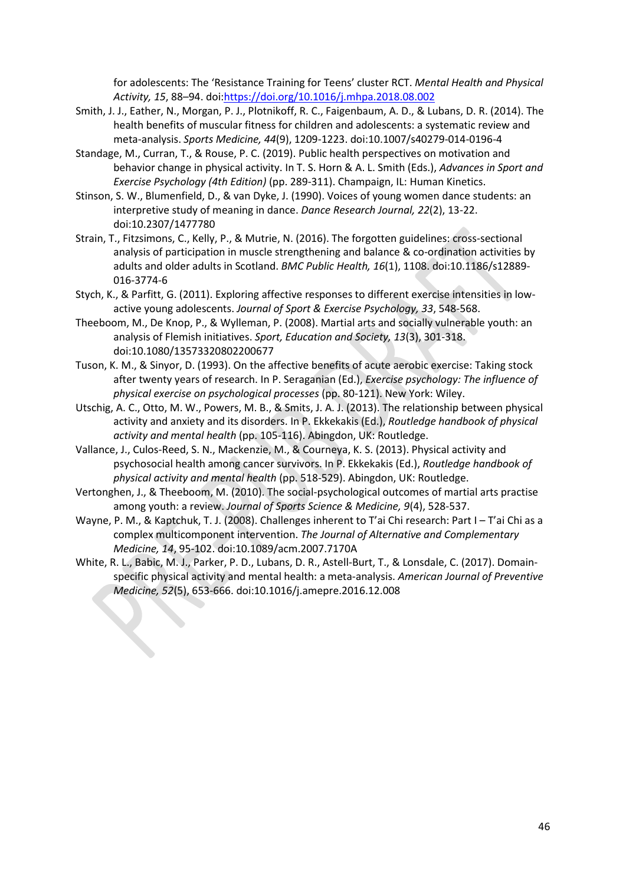for adolescents: The 'Resistance Training for Teens' cluster RCT. *Mental Health and Physical Activity, 15*, 88–94. doi[:https://doi.org/10.1016/j.mhpa.2018.08.002](https://doi.org/10.1016/j.mhpa.2018.08.002)

- Smith, J. J., Eather, N., Morgan, P. J., Plotnikoff, R. C., Faigenbaum, A. D., & Lubans, D. R. (2014). The health benefits of muscular fitness for children and adolescents: a systematic review and meta-analysis. *Sports Medicine, 44*(9), 1209-1223. doi:10.1007/s40279-014-0196-4
- Standage, M., Curran, T., & Rouse, P. C. (2019). Public health perspectives on motivation and behavior change in physical activity. In T. S. Horn & A. L. Smith (Eds.), *Advances in Sport and Exercise Psychology (4th Edition)* (pp. 289-311). Champaign, IL: Human Kinetics.
- Stinson, S. W., Blumenfield, D., & van Dyke, J. (1990). Voices of young women dance students: an interpretive study of meaning in dance. *Dance Research Journal, 22*(2), 13-22. doi:10.2307/1477780
- Strain, T., Fitzsimons, C., Kelly, P., & Mutrie, N. (2016). The forgotten guidelines: cross-sectional analysis of participation in muscle strengthening and balance & co-ordination activities by adults and older adults in Scotland. *BMC Public Health, 16*(1), 1108. doi:10.1186/s12889- 016-3774-6
- Stych, K., & Parfitt, G. (2011). Exploring affective responses to different exercise intensities in lowactive young adolescents. *Journal of Sport & Exercise Psychology, 33*, 548-568.
- Theeboom, M., De Knop, P., & Wylleman, P. (2008). Martial arts and socially vulnerable youth: an analysis of Flemish initiatives. *Sport, Education and Society, 13*(3), 301-318. doi:10.1080/13573320802200677
- Tuson, K. M., & Sinyor, D. (1993). On the affective benefits of acute aerobic exercise: Taking stock after twenty years of research. In P. Seraganian (Ed.), *Exercise psychology: The influence of physical exercise on psychological processes* (pp. 80-121). New York: Wiley.
- Utschig, A. C., Otto, M. W., Powers, M. B., & Smits, J. A. J. (2013). The relationship between physical activity and anxiety and its disorders. In P. Ekkekakis (Ed.), *Routledge handbook of physical activity and mental health* (pp. 105-116). Abingdon, UK: Routledge.
- Vallance, J., Culos-Reed, S. N., Mackenzie, M., & Courneya, K. S. (2013). Physical activity and psychosocial health among cancer survivors. In P. Ekkekakis (Ed.), *Routledge handbook of physical activity and mental health* (pp. 518-529). Abingdon, UK: Routledge.
- Vertonghen, J., & Theeboom, M. (2010). The social-psychological outcomes of martial arts practise among youth: a review. *Journal of Sports Science & Medicine, 9*(4), 528-537.
- Wayne, P. M., & Kaptchuk, T. J. (2008). Challenges inherent to T'ai Chi research: Part I T'ai Chi as a complex multicomponent intervention. *The Journal of Alternative and Complementary Medicine, 14*, 95-102. doi:10.1089/acm.2007.7170A
- White, R. L., Babic, M. J., Parker, P. D., Lubans, D. R., Astell-Burt, T., & Lonsdale, C. (2017). Domainspecific physical activity and mental health: a meta-analysis. *American Journal of Preventive Medicine, 52*(5), 653-666. doi:10.1016/j.amepre.2016.12.008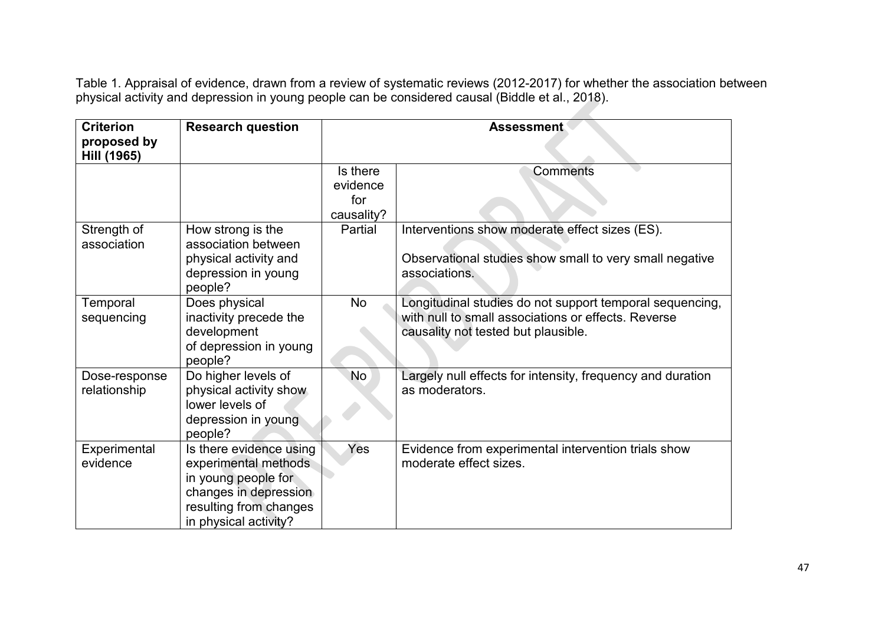Table 1. Appraisal of evidence, drawn from a review of systematic reviews (2012-2017) for whether the association between physical activity and depression in young people can be considered causal (Biddle et al., 2018).

| <b>Criterion</b><br>proposed by<br>Hill (1965) | <b>Research question</b>                                                                                                                           | <b>Assessment</b>                         |                                                                                                                                                        |
|------------------------------------------------|----------------------------------------------------------------------------------------------------------------------------------------------------|-------------------------------------------|--------------------------------------------------------------------------------------------------------------------------------------------------------|
|                                                |                                                                                                                                                    | Is there<br>evidence<br>for<br>causality? | <b>Comments</b>                                                                                                                                        |
| Strength of<br>association                     | How strong is the<br>association between<br>physical activity and<br>depression in young<br>people?                                                | Partial                                   | Interventions show moderate effect sizes (ES).<br>Observational studies show small to very small negative<br>associations.                             |
| Temporal<br>sequencing                         | Does physical<br>inactivity precede the<br>development<br>of depression in young<br>people?                                                        | No                                        | Longitudinal studies do not support temporal sequencing,<br>with null to small associations or effects. Reverse<br>causality not tested but plausible. |
| Dose-response<br>relationship                  | Do higher levels of<br>physical activity show<br>lower levels of<br>depression in young<br>people?                                                 | No                                        | Largely null effects for intensity, frequency and duration<br>as moderators.                                                                           |
| Experimental<br>evidence                       | Is there evidence using<br>experimental methods<br>in young people for<br>changes in depression<br>resulting from changes<br>in physical activity? | Yes                                       | Evidence from experimental intervention trials show<br>moderate effect sizes.                                                                          |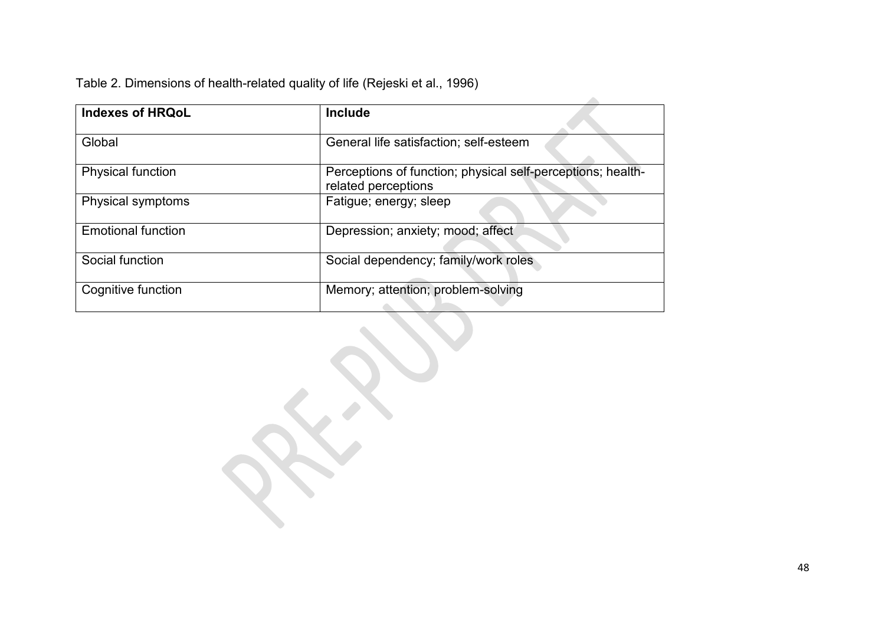Table 2. Dimensions of health-related quality of life (Rejeski et al., 1996)

| <b>Indexes of HRQoL</b>   | <b>Include</b>                                                                     |  |
|---------------------------|------------------------------------------------------------------------------------|--|
| Global                    | General life satisfaction; self-esteem                                             |  |
| <b>Physical function</b>  | Perceptions of function; physical self-perceptions; health-<br>related perceptions |  |
| Physical symptoms         | Fatigue; energy; sleep                                                             |  |
| <b>Emotional function</b> | Depression; anxiety; mood; affect                                                  |  |
| Social function           | Social dependency; family/work roles                                               |  |
| Cognitive function        | Memory; attention; problem-solving                                                 |  |